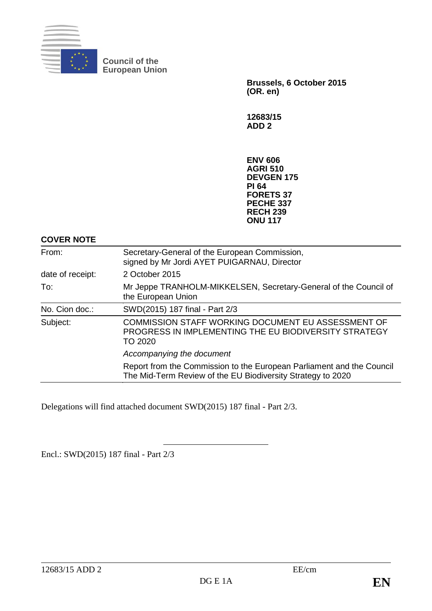

**Council of the European Union**

> **Brussels, 6 October 2015 (OR. en)**

**12683/15 ADD 2**

**ENV 606 AGRI 510 DEVGEN 175 PI 64 FORETS 37 PECHE 337 RECH 239 ONU 117**

**COVER NOTE**

| From:            | Secretary-General of the European Commission,<br>signed by Mr Jordi AYET PUIGARNAU, Director                                         |
|------------------|--------------------------------------------------------------------------------------------------------------------------------------|
| date of receipt: | 2 October 2015                                                                                                                       |
| To:              | Mr Jeppe TRANHOLM-MIKKELSEN, Secretary-General of the Council of<br>the European Union                                               |
| No. Cion doc.:   | SWD(2015) 187 final - Part 2/3                                                                                                       |
| Subject:         | <b>COMMISSION STAFF WORKING DOCUMENT EU ASSESSMENT OF</b><br>PROGRESS IN IMPLEMENTING THE EU BIODIVERSITY STRATEGY<br>TO 2020        |
|                  | Accompanying the document                                                                                                            |
|                  | Report from the Commission to the European Parliament and the Council<br>The Mid-Term Review of the EU Biodiversity Strategy to 2020 |

Delegations will find attached document SWD(2015) 187 final - Part 2/3.

Encl.: SWD(2015) 187 final - Part 2/3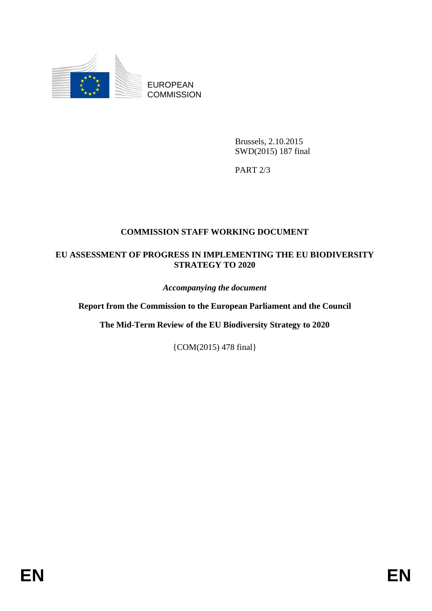

EUROPEAN **COMMISSION** 

> Brussels, 2.10.2015 SWD(2015) 187 final

PART 2/3

## **COMMISSION STAFF WORKING DOCUMENT**

## **EU ASSESSMENT OF PROGRESS IN IMPLEMENTING THE EU BIODIVERSITY STRATEGY TO 2020**

*Accompanying the document*

**Report from the Commission to the European Parliament and the Council**

**The Mid-Term Review of the EU Biodiversity Strategy to 2020**

{COM(2015) 478 final}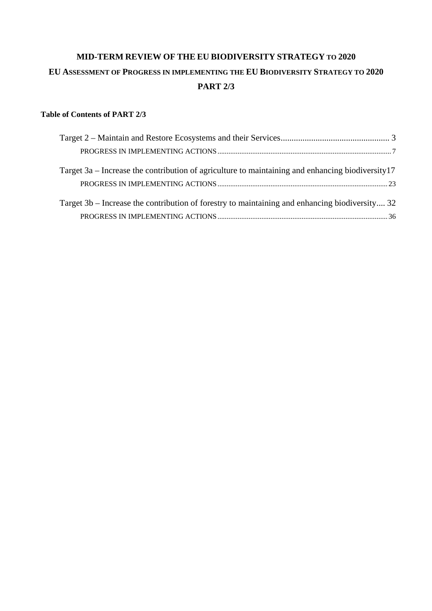# **MID-TERM REVIEW OF THE EU BIODIVERSITY STRATEGY TO 2020 EU ASSESSMENT OF PROGRESS IN IMPLEMENTING THE EU BIODIVERSITY STRATEGY TO 2020 PART 2/3**

### **Table of Contents of PART 2/3**

| Target 3a – Increase the contribution of agriculture to maintaining and enhancing biodiversity 17 |  |
|---------------------------------------------------------------------------------------------------|--|
|                                                                                                   |  |
| Target 3b – Increase the contribution of forestry to maintaining and enhancing biodiversity 32    |  |
|                                                                                                   |  |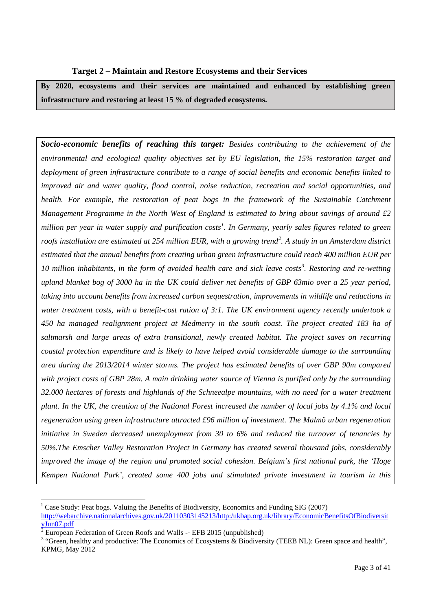#### **Target 2 – Maintain and Restore Ecosystems and their Services**

**By 2020, ecosystems and their services are maintained and enhanced by establishing green infrastructure and restoring at least 15 % of degraded ecosystems.**

*Socio-economic benefits of reaching this target: Besides contributing to the achievement of the environmental and ecological quality objectives set by EU legislation, the 15% restoration target and deployment of green infrastructure contribute to a range of social benefits and economic benefits linked to improved air and water quality, flood control, noise reduction, recreation and social opportunities, and health. For example, the restoration of peat bogs in the framework of the Sustainable Catchment Management Programme in the North West of England is estimated to bring about savings of around £2 million per year in water supply and purification costs[1](#page-3-0) . In Germany, yearly sales figures related to green roofs installation are estimated at 254 million EUR, with a growing trend[2](#page-3-1) . A study in an Amsterdam district estimated that the annual benefits from creating urban green infrastructure could reach 400 million EUR per 10 million inhabitants, in the form of avoided health care and sick leave costs[3](#page-3-2) . Restoring and re-wetting upland blanket bog of 3000 ha in the UK could deliver net benefits of GBP 63mio over a 25 year period, taking into account benefits from increased carbon sequestration, improvements in wildlife and reductions in water treatment costs, with a benefit-cost ration of 3:1. The UK environment agency recently undertook a 450 ha managed realignment project at Medmerry in the south coast. The project created 183 ha of saltmarsh and large areas of extra transitional, newly created habitat. The project saves on recurring coastal protection expenditure and is likely to have helped avoid considerable damage to the surrounding area during the 2013/2014 winter storms. The project has estimated benefits of over GBP 90m compared with project costs of GBP 28m. A main drinking water source of Vienna is purified only by the surrounding 32.000 hectares of forests and highlands of the Schneealpe mountains, with no need for a water treatment plant. In the UK, the creation of the National Forest increased the number of local jobs by 4.1% and local regeneration using green infrastructure attracted £96 million of investment. The Malmö urban regeneration initiative in Sweden decreased unemployment from 30 to 6% and reduced the turnover of tenancies by 50%.The Emscher Valley Restoration Project in Germany has created several thousand jobs, considerably improved the image of the region and promoted social cohesion. Belgium's first national park, the 'Hoge Kempen National Park', created some 400 jobs and stimulated private investment in tourism in this* 

<span id="page-3-0"></span><sup>&</sup>lt;sup>1</sup> Case Study: Peat bogs. Valuing the Benefits of Biodiversity, Economics and Funding SIG (2007) [http://webarchive.nationalarchives.gov.uk/20110303145213/http:/ukbap.org.uk/library/EconomicBenefitsOfBiodiversit](http://webarchive.nationalarchives.gov.uk/20110303145213/http:/ukbap.org.uk/library/EconomicBenefitsOfBiodiversityJun07.pdf)  $\frac{yJun07.pdf}{x$  $\frac{yJun07.pdf}{x$  $\frac{yJun07.pdf}{x$  European Federation of Green Roofs and Walls -- EFB 2015 (unpublished)

<span id="page-3-1"></span>

<span id="page-3-2"></span><sup>&</sup>lt;sup>3</sup> "Green, healthy and productive: The Economics of Ecosystems  $\&$  Biodiversity (TEEB NL): Green space and health", KPMG, May 2012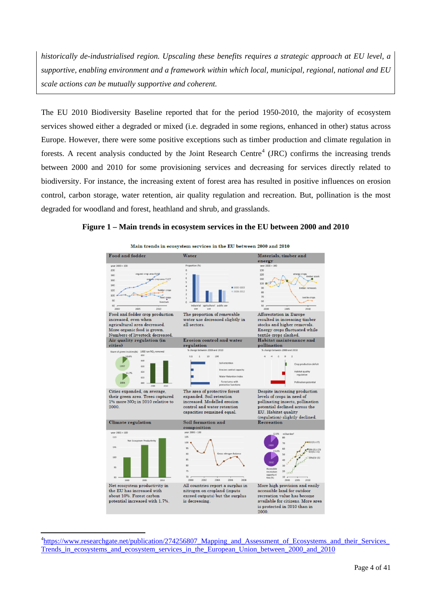*historically de-industrialised region. Upscaling these benefits requires a strategic approach at EU level, a supportive, enabling environment and a framework within which local, municipal, regional, national and EU scale actions can be mutually supportive and coherent.*

The EU 2010 Biodiversity Baseline reported that for the period 1950-2010, the majority of ecosystem services showed either a degraded or mixed (i.e. degraded in some regions, enhanced in other) status across Europe. However, there were some positive exceptions such as timber production and climate regulation in forests. A recent analysis conducted by the Joint Research Centre<sup>[4](#page-4-0)</sup> (JRC) confirms the increasing trends between 2000 and 2010 for some provisioning services and decreasing for services directly related to biodiversity. For instance, the increasing extent of forest area has resulted in positive influences on erosion control, carbon storage, water retention, air quality regulation and recreation. But, pollination is the most degraded for woodland and forest, heathland and shrub, and grasslands.

#### **Figure 1 – Main trends in ecosystem services in the EU between 2000 and 2010**



<span id="page-4-0"></span><sup>&</sup>lt;sup>4</sup>https://www.researchgate.net/publication/274256807 Mapping and Assessment of Ecosystems and their Services Trends in ecosystems and ecosystem services in the European Union between 2000 and 2010

 $\overline{a}$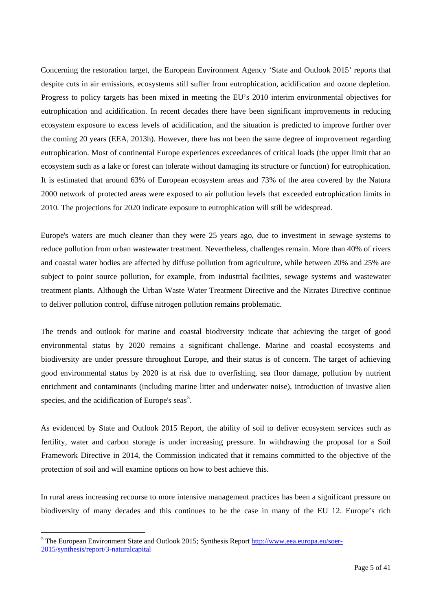Concerning the restoration target, the European Environment Agency 'State and Outlook 2015' reports that despite cuts in air emissions, ecosystems still suffer from eutrophication, acidification and ozone depletion. Progress to policy targets has been mixed in meeting the EU's 2010 interim environmental objectives for eutrophication and acidification. In recent decades there have been significant improvements in reducing ecosystem exposure to excess levels of acidification, and the situation is predicted to improve further over the coming 20 years (EEA, 2013h). However, there has not been the same degree of improvement regarding eutrophication. Most of continental Europe experiences exceedances of critical loads (the upper limit that an ecosystem such as a lake or forest can tolerate without damaging its structure or function) for eutrophication. It is estimated that around 63% of European ecosystem areas and 73% of the area covered by the Natura 2000 network of protected areas were exposed to air pollution levels that exceeded eutrophication limits in 2010. The projections for 2020 indicate exposure to eutrophication will still be widespread.

Europe's waters are much cleaner than they were 25 years ago, due to investment in sewage systems to reduce pollution from urban wastewater treatment. Nevertheless, challenges remain. More than 40% of rivers and coastal water bodies are affected by diffuse pollution from agriculture, while between 20% and 25% are subject to point source pollution, for example, from industrial facilities, sewage systems and wastewater treatment plants. Although the Urban Waste Water Treatment Directive and the Nitrates Directive continue to deliver pollution control, diffuse nitrogen pollution remains problematic.

The trends and outlook for marine and coastal biodiversity indicate that achieving the target of good environmental status by 2020 remains a significant challenge. Marine and coastal ecosystems and biodiversity are under pressure throughout Europe, and their status is of concern. The target of achieving good environmental status by 2020 is at risk due to overfishing, sea floor damage, pollution by nutrient enrichment and contaminants (including marine litter and underwater noise), introduction of invasive alien species, and the acidification of Europe's seas<sup>[5](#page-5-0)</sup>.

As evidenced by State and Outlook 2015 Report, the ability of soil to deliver ecosystem services such as fertility, water and carbon storage is under increasing pressure. In withdrawing the proposal for a Soil Framework Directive in 2014, the Commission indicated that it remains committed to the objective of the protection of soil and will examine options on how to best achieve this.

In rural areas increasing recourse to more intensive management practices has been a significant pressure on biodiversity of many decades and this continues to be the case in many of the EU 12. Europe's rich

<span id="page-5-0"></span><sup>&</sup>lt;sup>5</sup> The European Environment State and Outlook 2015; Synthesis Report **http://www.eea.europa.eu/soer-**[2015/synthesis/report/3-naturalcapital](http://www.eea.europa.eu/soer-2015/synthesis/report/3-naturalcapital)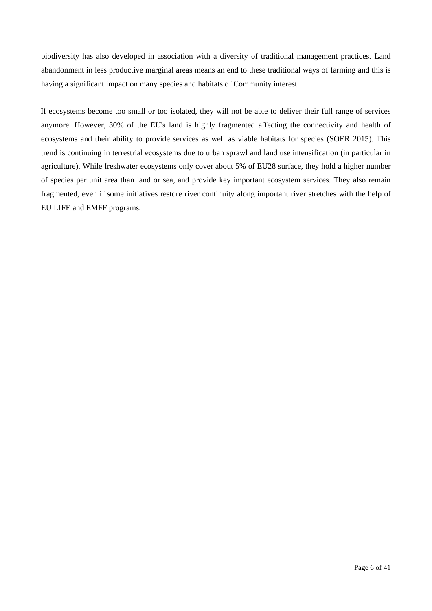biodiversity has also developed in association with a diversity of traditional management practices. Land abandonment in less productive marginal areas means an end to these traditional ways of farming and this is having a significant impact on many species and habitats of Community interest.

If ecosystems become too small or too isolated, they will not be able to deliver their full range of services anymore. However, 30% of the EU's land is highly fragmented affecting the connectivity and health of ecosystems and their ability to provide services as well as viable habitats for species (SOER 2015). This trend is continuing in terrestrial ecosystems due to urban sprawl and land use intensification (in particular in agriculture). While freshwater ecosystems only cover about 5% of EU28 surface, they hold a higher number of species per unit area than land or sea, and provide key important ecosystem services. They also remain fragmented, even if some initiatives restore river continuity along important river stretches with the help of EU LIFE and EMFF programs.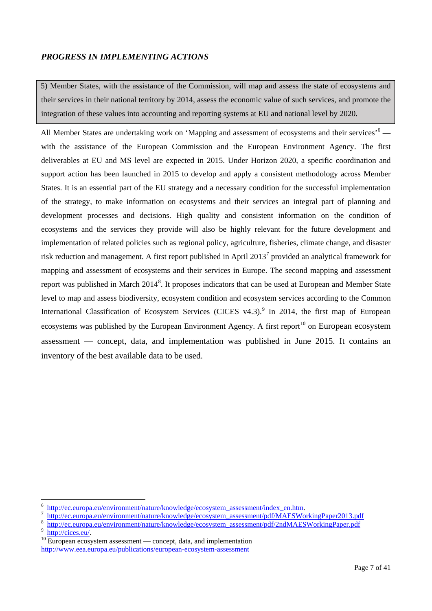### *PROGRESS IN IMPLEMENTING ACTIONS*

5) Member States, with the assistance of the Commission, will map and assess the state of ecosystems and their services in their national territory by 2014, assess the economic value of such services, and promote the integration of these values into accounting and reporting systems at EU and national level by 2020.

All Member States are undertaking work on 'Mapping and assessment of ecosystems and their services'<sup>[6](#page-7-0)</sup> with the assistance of the European Commission and the European Environment Agency. The first deliverables at EU and MS level are expected in 2015. Under Horizon 2020, a specific coordination and support action has been launched in 2015 to develop and apply a consistent methodology across Member States. It is an essential part of the EU strategy and a necessary condition for the successful implementation of the strategy, to make information on ecosystems and their services an integral part of planning and development processes and decisions. High quality and consistent information on the condition of ecosystems and the services they provide will also be highly relevant for the future development and implementation of related policies such as regional policy, agriculture, fisheries, climate change, and disaster risk reduction and management. A first report published in April 2013[7](#page-7-1) provided an analytical framework for mapping and assessment of ecosystems and their services in Europe. The second mapping and assessment report was published in March 2014<sup>[8](#page-7-2)</sup>. It proposes indicators that can be used at European and Member State level to map and assess biodiversity, ecosystem condition and ecosystem services according to the Common International Classification of Ecosystem Services (CICES v4.3).<sup>[9](#page-7-3)</sup> In 2014, the first map of European ecosystems was published by the European Environment Agency. A first report<sup>[10](#page-7-4)</sup> on European ecosystem assessment — concept, data, and implementation was published in June 2015. It contains an inventory of the best available data to be used.

<span id="page-7-3"></span>

<span id="page-7-2"></span><span id="page-7-1"></span><span id="page-7-0"></span>

<sup>&</sup>lt;sup>6</sup><br>[http://ec.europa.eu/environment/nature/knowledge/ecosystem\\_assessment/index\\_en.htm.](http://ec.europa.eu/environment/nature/knowledge/ecosystem_assessment/index_en.htm)<br><sup>8</sup><br>[http://ec.europa.eu/environment/nature/knowledge/ecosystem\\_assessment/pdf/MAESWorkingPaper2013.pdf](http://ec.europa.eu/environment/nature/knowledge/ecosystem_assessment/pdf/MAESWorkingPaper2013.pdf)<br><sup>9</sup> http://cices.eu/environment

<span id="page-7-4"></span><http://www.eea.europa.eu/publications/european-ecosystem-assessment>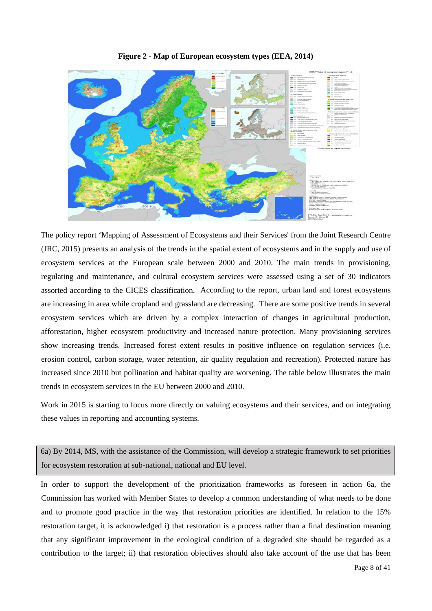

**Figure 2 - Map of European ecosystem types (EEA, 2014)**

The policy report 'Mapping of Assessment of Ecosystems and their Services' from the Joint Research Centre (JRC, 2015) presents an analysis of the trends in the spatial extent of ecosystems and in the supply and use of ecosystem services at the European scale between 2000 and 2010. The main trends in provisioning, regulating and maintenance, and cultural ecosystem services were assessed using a set of 30 indicators assorted according to the CICES classification. According to the report, urban land and forest ecosystems are increasing in area while cropland and grassland are decreasing. There are some positive trends in several ecosystem services which are driven by a complex interaction of changes in agricultural production, afforestation, higher ecosystem productivity and increased nature protection. Many provisioning services show increasing trends. Increased forest extent results in positive influence on regulation services (i.e. erosion control, carbon storage, water retention, air quality regulation and recreation). Protected nature has increased since 2010 but pollination and habitat quality are worsening. The table below illustrates the main trends in ecosystem services in the EU between 2000 and 2010.

Work in 2015 is starting to focus more directly on valuing ecosystems and their services, and on integrating these values in reporting and accounting systems.

6a) By 2014, MS, with the assistance of the Commission, will develop a strategic framework to set priorities for ecosystem restoration at sub-national, national and EU level.

In order to support the development of the prioritization frameworks as foreseen in action 6a, the Commission has worked with Member States to develop a common understanding of what needs to be done and to promote good practice in the way that restoration priorities are identified. In relation to the 15% restoration target, it is acknowledged i) that restoration is a process rather than a final destination meaning that any significant improvement in the ecological condition of a degraded site should be regarded as a contribution to the target; ii) that restoration objectives should also take account of the use that has been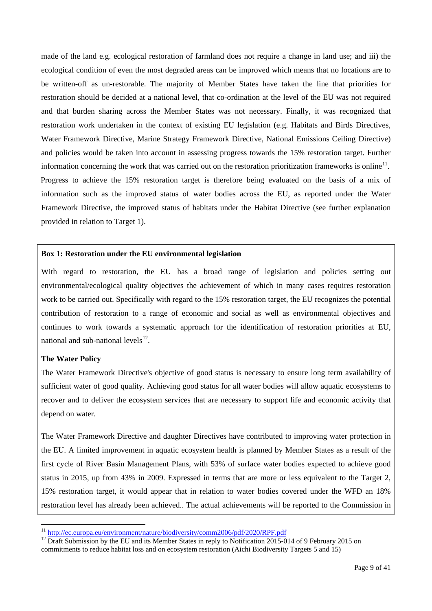made of the land e.g. ecological restoration of farmland does not require a change in land use; and iii) the ecological condition of even the most degraded areas can be improved which means that no locations are to be written-off as un-restorable. The majority of Member States have taken the line that priorities for restoration should be decided at a national level, that co-ordination at the level of the EU was not required and that burden sharing across the Member States was not necessary. Finally, it was recognized that restoration work undertaken in the context of existing EU legislation (e.g. Habitats and Birds Directives, Water Framework Directive, Marine Strategy Framework Directive, National Emissions Ceiling Directive) and policies would be taken into account in assessing progress towards the 15% restoration target. Further information concerning the work that was carried out on the restoration prioritization frameworks is online<sup>[11](#page-9-0)</sup>. Progress to achieve the 15% restoration target is therefore being evaluated on the basis of a mix of information such as the improved status of water bodies across the EU, as reported under the Water Framework Directive, the improved status of habitats under the Habitat Directive (see further explanation provided in relation to Target 1).

#### **Box 1: Restoration under the EU environmental legislation**

With regard to restoration, the EU has a broad range of legislation and policies setting out environmental/ecological quality objectives the achievement of which in many cases requires restoration work to be carried out. Specifically with regard to the 15% restoration target, the EU recognizes the potential contribution of restoration to a range of economic and social as well as environmental objectives and continues to work towards a systematic approach for the identification of restoration priorities at EU, national and sub-national levels $^{12}$ .

#### **The Water Policy**

The Water Framework Directive's objective of good status is necessary to ensure long term availability of sufficient water of good quality. Achieving good status for all water bodies will allow aquatic ecosystems to recover and to deliver the ecosystem services that are necessary to support life and economic activity that depend on water.

The Water Framework Directive and daughter Directives have contributed to improving water protection in the EU. A limited improvement in aquatic ecosystem health is planned by Member States as a result of the first cycle of River Basin Management Plans, with 53% of surface water bodies expected to achieve good status in 2015, up from 43% in 2009. Expressed in terms that are more or less equivalent to the Target 2, 15% restoration target, it would appear that in relation to water bodies covered under the WFD an 18% restoration level has already been achieved.. The actual achievements will be reported to the Commission in

<span id="page-9-1"></span><span id="page-9-0"></span>

 $11 \frac{\text{http://ec.europa.eu/environment/nature/biodiversity/comm2006/pdf/2020/RPF.pdf}{\text{Draft Submission by the EU and its Member States in reply to Notification 2015-014 of 9 February 2015 on}}$  $11 \frac{\text{http://ec.europa.eu/environment/nature/biodiversity/comm2006/pdf/2020/RPF.pdf}{\text{Draft Submission by the EU and its Member States in reply to Notification 2015-014 of 9 February 2015 on}}$  $11 \frac{\text{http://ec.europa.eu/environment/nature/biodiversity/comm2006/pdf/2020/RPF.pdf}{\text{Draft Submission by the EU and its Member States in reply to Notification 2015-014 of 9 February 2015 on}}$ commitments to reduce habitat loss and on ecosystem restoration (Aichi Biodiversity Targets 5 and 15)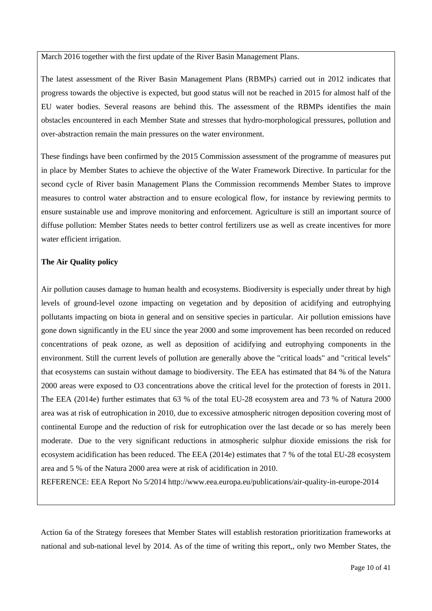March 2016 together with the first update of the River Basin Management Plans.

The latest assessment of the River Basin Management Plans (RBMPs) carried out in 2012 indicates that progress towards the objective is expected, but good status will not be reached in 2015 for almost half of the EU water bodies. Several reasons are behind this. The assessment of the RBMPs identifies the main obstacles encountered in each Member State and stresses that hydro-morphological pressures, pollution and over-abstraction remain the main pressures on the water environment.

These findings have been confirmed by the 2015 Commission assessment of the programme of measures put in place by Member States to achieve the objective of the Water Framework Directive. In particular for the second cycle of River basin Management Plans the Commission recommends Member States to improve measures to control water abstraction and to ensure ecological flow, for instance by reviewing permits to ensure sustainable use and improve monitoring and enforcement. Agriculture is still an important source of diffuse pollution: Member States needs to better control fertilizers use as well as create incentives for more water efficient irrigation.

#### **The Air Quality policy**

Air pollution causes damage to human health and ecosystems. Biodiversity is especially under threat by high levels of ground-level ozone impacting on vegetation and by deposition of acidifying and eutrophying pollutants impacting on biota in general and on sensitive species in particular. Air pollution emissions have gone down significantly in the EU since the year 2000 and some improvement has been recorded on reduced concentrations of peak ozone, as well as deposition of acidifying and eutrophying components in the environment. Still the current levels of pollution are generally above the "critical loads" and "critical levels" that ecosystems can sustain without damage to biodiversity. The EEA has estimated that 84 % of the Natura 2000 areas were exposed to O3 concentrations above the critical level for the protection of forests in 2011. The EEA (2014e) further estimates that 63 % of the total EU-28 ecosystem area and 73 % of Natura 2000 area was at risk of eutrophication in 2010, due to excessive atmospheric nitrogen deposition covering most of continental Europe and the reduction of risk for eutrophication over the last decade or so has merely been moderate. Due to the very significant reductions in atmospheric sulphur dioxide emissions the risk for ecosystem acidification has been reduced. The EEA (2014e) estimates that 7 % of the total EU-28 ecosystem area and 5 % of the Natura 2000 area were at risk of acidification in 2010.

REFERENCE: EEA Report No 5/2014 http://www.eea.europa.eu/publications/air-quality-in-europe-2014

Action 6a of the Strategy foresees that Member States will establish restoration prioritization frameworks at national and sub-national level by 2014. As of the time of writing this report,, only two Member States, the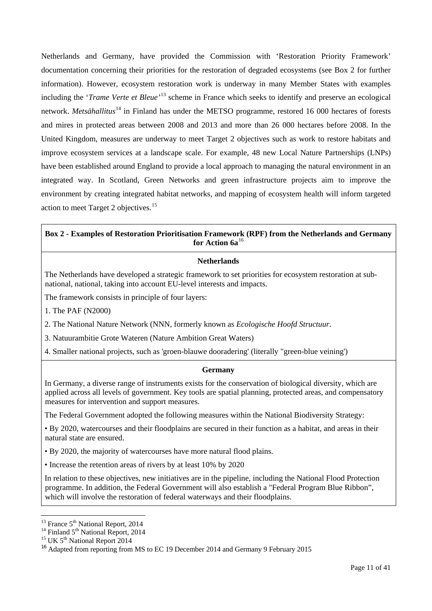Netherlands and Germany, have provided the Commission with 'Restoration Priority Framework' documentation concerning their priorities for the restoration of degraded ecosystems (see Box 2 for further information). However, ecosystem restoration work is underway in many Member States with examples including the '*Trame Verte et Bleue'*[13](#page-11-0) scheme in France which seeks to identify and preserve an ecological network. *Metsähallitus*<sup>[14](#page-11-1)</sup> in Finland has under the METSO programme, restored 16 000 hectares of forests and mires in protected areas between 2008 and 2013 and more than 26 000 hectares before 2008. In the United Kingdom, measures are underway to meet Target 2 objectives such as work to restore habitats and improve ecosystem services at a landscape scale. For example, 48 new Local Nature Partnerships (LNPs) have been established around England to provide a local approach to managing the natural environment in an integrated way. In Scotland, Green Networks and green infrastructure projects aim to improve the environment by creating integrated habitat networks, and mapping of ecosystem health will inform targeted action to meet Target 2 objectives.[15](#page-11-2)

### **Box 2 - Examples of Restoration Prioritisation Framework (RPF) from the Netherlands and Germany for Action 6a**[16](#page-11-3)

#### **Netherlands**

The Netherlands have developed a strategic framework to set priorities for ecosystem restoration at subnational, national, taking into account EU-level interests and impacts.

The framework consists in principle of four layers:

1. The PAF (N2000)

2. The National Nature Network (NNN, formerly known as *Ecologische Hoofd Structuur*.

3. Natuurambitie Grote Wateren (Nature Ambition Great Waters)

4. Smaller national projects, such as 'groen-blauwe dooradering' (literally "green-blue veining')

#### **Germany**

In Germany, a diverse range of instruments exists for the conservation of biological diversity, which are applied across all levels of government. Key tools are spatial planning, protected areas, and compensatory measures for intervention and support measures.

The Federal Government adopted the following measures within the National Biodiversity Strategy:

• By 2020, watercourses and their floodplains are secured in their function as a habitat, and areas in their natural state are ensured.

• By 2020, the majority of watercourses have more natural flood plains.

• Increase the retention areas of rivers by at least 10% by 2020

In relation to these objectives, new initiatives are in the pipeline, including the National Flood Protection programme. In addition, the Federal Government will also establish a "Federal Program Blue Ribbon", which will involve the restoration of federal waterways and their floodplains.

<span id="page-11-0"></span><sup>&</sup>lt;sup>13</sup> France 5<sup>th</sup> National Report, 2014<br><sup>14</sup> Finland 5<sup>th</sup> National Report, 2014<br><sup>15</sup> UK 5<sup>th</sup> National Report 2014

<span id="page-11-1"></span>

<span id="page-11-2"></span>

<span id="page-11-3"></span><sup>&</sup>lt;sup>16</sup> Adapted from reporting from MS to EC 19 December 2014 and Germany 9 February 2015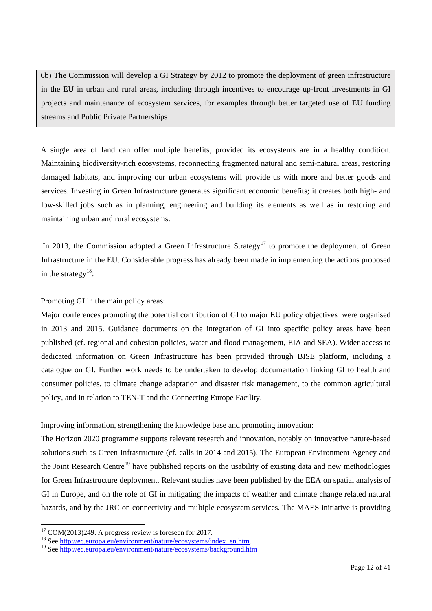6b) The Commission will develop a GI Strategy by 2012 to promote the deployment of green infrastructure in the EU in urban and rural areas, including through incentives to encourage up-front investments in GI projects and maintenance of ecosystem services, for examples through better targeted use of EU funding streams and Public Private Partnerships

A single area of land can offer multiple benefits, provided its ecosystems are in a healthy condition. Maintaining biodiversity-rich ecosystems, reconnecting fragmented natural and semi-natural areas, restoring damaged habitats, and improving our urban ecosystems will provide us with more and better goods and services. Investing in Green Infrastructure generates significant economic benefits; it creates both high- and low-skilled jobs such as in planning, engineering and building its elements as well as in restoring and maintaining urban and rural ecosystems.

In 2013, the Commission adopted a Green Infrastructure Strategy<sup>[17](#page-12-0)</sup> to promote the deployment of Green Infrastructure in the EU. Considerable progress has already been made in implementing the actions proposed in the strategy<sup>18</sup>:

#### Promoting GI in the main policy areas:

Major conferences promoting the potential contribution of GI to major EU policy objectives were organised in 2013 and 2015. Guidance documents on the integration of GI into specific policy areas have been published (cf. regional and cohesion policies, water and flood management, EIA and SEA). Wider access to dedicated information on Green Infrastructure has been provided through BISE platform, including a catalogue on GI. Further work needs to be undertaken to develop documentation linking GI to health and consumer policies, to climate change adaptation and disaster risk management, to the common agricultural policy, and in relation to TEN-T and the Connecting Europe Facility.

#### Improving information, strengthening the knowledge base and promoting innovation:

The Horizon 2020 programme supports relevant research and innovation, notably on innovative nature-based solutions such as Green Infrastructure (cf. calls in 2014 and 2015). The European Environment Agency and the Joint Research Centre<sup>[19](#page-12-2)</sup> have published reports on the usability of existing data and new methodologies for Green Infrastructure deployment. Relevant studies have been published by the EEA on spatial analysis of GI in Europe, and on the role of GI in mitigating the impacts of weather and climate change related natural hazards, and by the JRC on connectivity and multiple ecosystem services. The MAES initiative is providing

<span id="page-12-0"></span><sup>&</sup>lt;sup>17</sup> COM(2013)249. A progress review is foreseen for 2017.<br><sup>18</sup> Se[e http://ec.europa.eu/environment/nature/ecosystems/background.htm](http://ec.europa.eu/environment/nature/ecosystems/background.htm)<sup>19</sup> See http://ec.europa.eu/environment/nature/ecosystems/background.htm

<span id="page-12-2"></span><span id="page-12-1"></span>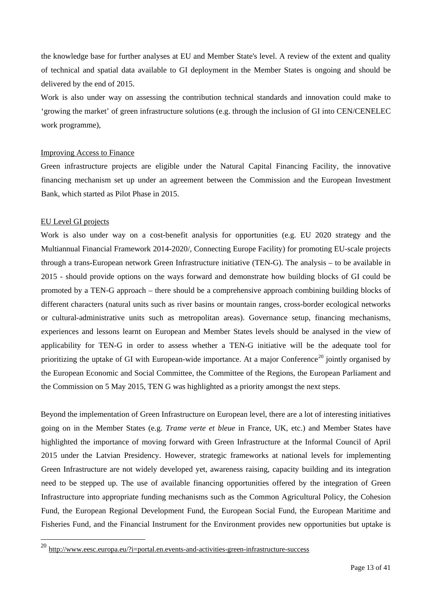the knowledge base for further analyses at EU and Member State's level. A review of the extent and quality of technical and spatial data available to GI deployment in the Member States is ongoing and should be delivered by the end of 2015.

Work is also under way on assessing the contribution technical standards and innovation could make to 'growing the market' of green infrastructure solutions (e.g. through the inclusion of GI into CEN/CENELEC work programme),

#### Improving Access to Finance

Green infrastructure projects are eligible under the Natural Capital Financing Facility, the innovative financing mechanism set up under an agreement between the Commission and the European Investment Bank, which started as Pilot Phase in 2015.

#### EU Level GI projects

Work is also under way on a cost-benefit analysis for opportunities (e.g. EU 2020 strategy and the Multiannual Financial Framework 2014-2020/, Connecting Europe Facility) for promoting EU-scale projects through a trans-European network Green Infrastructure initiative (TEN-G). The analysis – to be available in 2015 - should provide options on the ways forward and demonstrate how building blocks of GI could be promoted by a TEN-G approach – there should be a comprehensive approach combining building blocks of different characters (natural units such as river basins or mountain ranges, cross-border ecological networks or cultural-administrative units such as metropolitan areas). Governance setup, financing mechanisms, experiences and lessons learnt on European and Member States levels should be analysed in the view of applicability for TEN-G in order to assess whether a TEN-G initiative will be the adequate tool for prioritizing the uptake of GI with European-wide importance. At a major Conference<sup>[20](#page-13-0)</sup> jointly organised by the European Economic and Social Committee, the Committee of the Regions, the European Parliament and the Commission on 5 May 2015, TEN G was highlighted as a priority amongst the next steps.

Beyond the implementation of Green Infrastructure on European level, there are a lot of interesting initiatives going on in the Member States (e.g. *Trame verte et bleue* in France, UK, etc.) and Member States have highlighted the importance of moving forward with Green Infrastructure at the Informal Council of April 2015 under the Latvian Presidency. However, strategic frameworks at national levels for implementing Green Infrastructure are not widely developed yet, awareness raising, capacity building and its integration need to be stepped up. The use of available financing opportunities offered by the integration of Green Infrastructure into appropriate funding mechanisms such as the Common Agricultural Policy, the Cohesion Fund, the European Regional Development Fund, the European Social Fund, the European Maritime and Fisheries Fund, and the Financial Instrument for the Environment provides new opportunities but uptake is

<span id="page-13-0"></span> $^{20}$  <http://www.eesc.europa.eu/?i=portal.en.events-and-activities-green-infrastructure-success>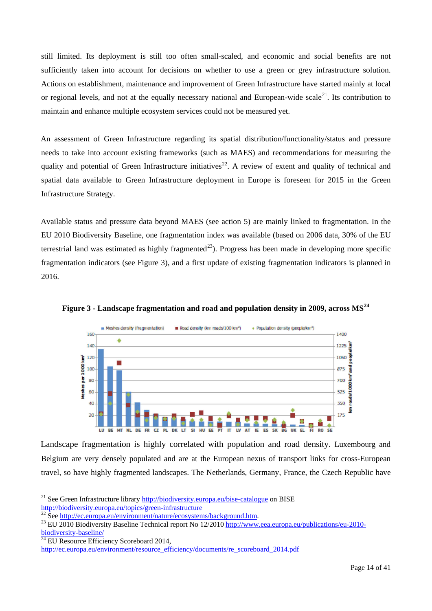still limited. Its deployment is still too often small-scaled, and economic and social benefits are not sufficiently taken into account for decisions on whether to use a green or grey infrastructure solution. Actions on establishment, maintenance and improvement of Green Infrastructure have started mainly at local or regional levels, and not at the equally necessary national and European-wide scale<sup>[21](#page-14-0)</sup>. Its contribution to maintain and enhance multiple ecosystem services could not be measured yet.

An assessment of Green Infrastructure regarding its spatial distribution/functionality/status and pressure needs to take into account existing frameworks (such as MAES) and recommendations for measuring the quality and potential of Green Infrastructure initiatives<sup>[22](#page-14-1)</sup>. A review of extent and quality of technical and spatial data available to Green Infrastructure deployment in Europe is foreseen for 2015 in the Green Infrastructure Strategy.

Available status and pressure data beyond MAES (see action 5) are mainly linked to fragmentation. In the EU 2010 Biodiversity Baseline, one fragmentation index was available (based on 2006 data, 30% of the EU terrestrial land was estimated as highly fragmented<sup>23</sup>). Progress has been made in developing more specific fragmentation indicators (see Figure 3), and a first update of existing fragmentation indicators is planned in 2016.



**Figure 3 - Landscape fragmentation and road and population density in 2009, across MS[24](#page-14-3)**

Landscape fragmentation is highly correlated with population and road density. Luxembourg and Belgium are very densely populated and are at the European nexus of transport links for cross-European travel, so have highly fragmented landscapes. The Netherlands, Germany, France, the Czech Republic have

<span id="page-14-3"></span> $\frac{1}{24}$  EU Resource Efficiency Scoreboard 2014,

 $\overline{a}$ <sup>21</sup> See Green Infrastructure librar[y http://biodiversity.europa.eu/bise-catalogue](http://biodiversity.europa.eu/bise-catalogue) on BISE

<span id="page-14-2"></span><span id="page-14-1"></span>

<span id="page-14-0"></span>http://biodiversity.europa.eu/topics/green-infrastructure<br>
<sup>22</sup> See http://ec.europa.eu/environment/nature/ecosystems/background.htm.<br>
<sup>23</sup> EU 2010 Biodiversity Baseline Technical report No 12/2010 http://www.eea.europa.eu

http://ec.europa.eu/environment/resource\_efficiency/documents/re\_scoreboard\_2014.pdf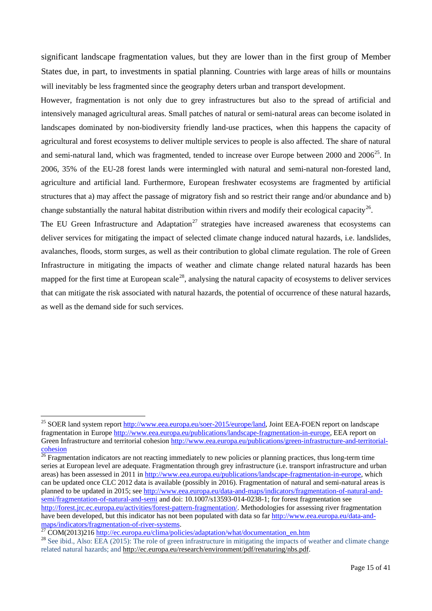significant landscape fragmentation values, but they are lower than in the first group of Member States due, in part, to investments in spatial planning. Countries with large areas of hills or mountains will inevitably be less fragmented since the geography deters urban and transport development.

However, fragmentation is not only due to grey infrastructures but also to the spread of artificial and intensively managed agricultural areas. Small patches of natural or semi-natural areas can become isolated in landscapes dominated by non-biodiversity friendly land-use practices, when this happens the capacity of agricultural and forest ecosystems to deliver multiple services to people is also affected. The share of natural and semi-natural land, which was fragmented, tended to increase over Europe between 2000 and  $2006^{25}$  $2006^{25}$  $2006^{25}$ . In 2006, 35% of the EU-28 forest lands were intermingled with natural and semi-natural non-forested land, agriculture and artificial land. Furthermore, European freshwater ecosystems are fragmented by artificial structures that a) may affect the passage of migratory fish and so restrict their range and/or abundance and b) change substantially the natural habitat distribution within rivers and modify their ecological capacity<sup>[26](#page-15-1)</sup>.

The EU Green Infrastructure and Adaptation<sup>[27](#page-15-2)</sup> strategies have increased awareness that ecosystems can deliver services for mitigating the impact of selected climate change induced natural hazards, i.e. landslides, avalanches, floods, storm surges, as well as their contribution to global climate regulation. The role of Green Infrastructure in mitigating the impacts of weather and climate change related natural hazards has been mapped for the first time at European scale<sup>[28](#page-15-3)</sup>, analysing the natural capacity of ecosystems to deliver services that can mitigate the risk associated with natural hazards, the potential of occurrence of these natural hazards, as well as the demand side for such services.

<span id="page-15-0"></span><sup>&</sup>lt;sup>25</sup> SOER land system report [http://www.eea.europa.eu/soer-2015/europe/land,](http://www.eea.europa.eu/soer-2015/europe/land) Joint EEA-FOEN report on landscape fragmentation in Europe [http://www.eea.europa.eu/publications/landscape-fragmentation-in-europe,](http://www.eea.europa.eu/publications/landscape-fragmentation-in-europe) EEA report on Green Infrastructure and territorial cohesion [http://www.eea.europa.eu/publications/green-infrastructure-and-territorial](http://www.eea.europa.eu/publications/green-infrastructure-and-territorial-cohesion)[cohesion](http://www.eea.europa.eu/publications/green-infrastructure-and-territorial-cohesion)

<span id="page-15-1"></span> $\frac{26}{26}$  Fragmentation indicators are not reacting immediately to new policies or planning practices, thus long-term time series at European level are adequate. Fragmentation through grey infrastructure (i.e. transport infrastructure and urban areas) has been assessed in 2011 i[n http://www.eea.europa.eu/publications/landscape-fragmentation-in-europe,](http://www.eea.europa.eu/publications/landscape-fragmentation-in-europe) which can be updated once CLC 2012 data is available (possibly in 2016). Fragmentation of natural and semi-natural areas is planned to be updated in 2015; see [http://www.eea.europa.eu/data-and-maps/indicators/fragmentation-of-natural-and](http://www.eea.europa.eu/data-and-maps/indicators/fragmentation-of-natural-and-semi/fragmentation-of-natural-and-semi)[semi/fragmentation-of-natural-and-semi](http://www.eea.europa.eu/data-and-maps/indicators/fragmentation-of-natural-and-semi/fragmentation-of-natural-and-semi) and doi: 10.1007/s13593-014-0238-1; for forest fragmentation see [http://forest.jrc.ec.europa.eu/activities/forest-pattern-fragmentation/.](http://forest.jrc.ec.europa.eu/activities/forest-pattern-fragmentation/) Methodologies for assessing river fragmentation have been developed, but this indicator has not been populated with data so far http://www.eea.europa.eu/data-and-maps/indicators/fragmentation-of-river-systems.

<span id="page-15-3"></span><span id="page-15-2"></span><sup>&</sup>lt;sup>27</sup> COM(2013)21[6 http://ec.europa.eu/clima/policies/adaptation/what/documentation\\_en.htm](http://ec.europa.eu/clima/policies/adaptation/what/documentation_en.htm)<br><sup>28</sup> See ibid., Also: EEA (2015): The role of green infrastructure in mitigating the impacts of weather and climate change related natural hazards; and [http://ec.europa.eu/research/environment/pdf/renaturing/nbs.pdf.](http://ec.europa.eu/research/environment/pdf/renaturing/nbs.pdf)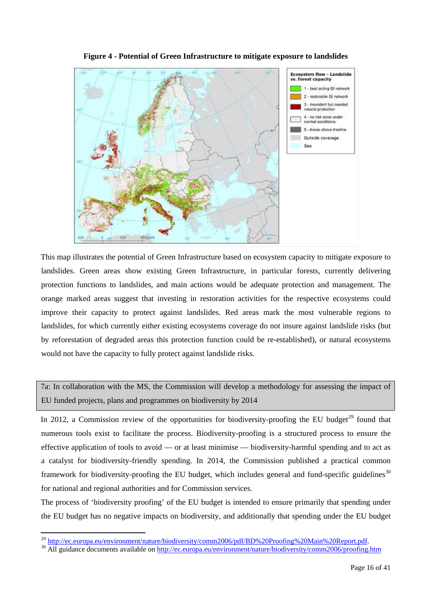

**Figure 4 - Potential of Green Infrastructure to mitigate exposure to landslides**

This map illustrates the potential of Green Infrastructure based on ecosystem capacity to mitigate exposure to landslides. Green areas show existing Green Infrastructure, in particular forests, currently delivering protection functions to landslides, and main actions would be adequate protection and management. The orange marked areas suggest that investing in restoration activities for the respective ecosystems could improve their capacity to protect against landslides. Red areas mark the most vulnerable regions to landslides, for which currently either existing ecosystems coverage do not insure against landslide risks (but by reforestation of degraded areas this protection function could be re-established), or natural ecosystems would not have the capacity to fully protect against landslide risks.

7a: In collaboration with the MS, the Commission will develop a methodology for assessing the impact of EU funded projects, plans and programmes on biodiversity by 2014

In 2012, a Commission review of the opportunities for biodiversity-proofing the EU budget<sup>[29](#page-16-0)</sup> found that numerous tools exist to facilitate the process. Biodiversity-proofing is a structured process to ensure the effective application of tools to avoid — or at least minimise — biodiversity-harmful spending and to act as a catalyst for biodiversity-friendly spending. In 2014, the Commission published a practical common framework for biodiversity-proofing the EU budget, which includes general and fund-specific guidelines<sup>[30](#page-16-1)</sup> for national and regional authorities and for Commission services.

The process of 'biodiversity proofing' of the EU budget is intended to ensure primarily that spending under the EU budget has no negative impacts on biodiversity, and additionally that spending under the EU budget

<span id="page-16-0"></span><sup>&</sup>lt;sup>29</sup> http://ec.europa.eu/environment/nature/biodiversity/comm2006/pdf/BD%20Proofing%20Main%20Report.pdf.

<span id="page-16-1"></span><sup>&</sup>lt;sup>30</sup> All guidance documents available on http://ec.europa.eu/environment/nature/biodiversity/comm2006/proofing.htm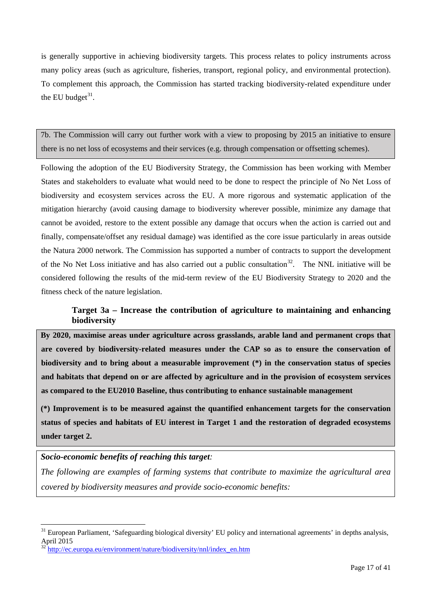is generally supportive in achieving biodiversity targets. This process relates to policy instruments across many policy areas (such as agriculture, fisheries, transport, regional policy, and environmental protection). To complement this approach, the Commission has started tracking biodiversity-related expenditure under the EU budget $^{31}$ .

7b. The Commission will carry out further work with a view to proposing by 2015 an initiative to ensure there is no net loss of ecosystems and their services (e.g. through compensation or offsetting schemes).

Following the adoption of the EU Biodiversity Strategy, the Commission has been working with Member States and stakeholders to evaluate what would need to be done to respect the principle of No Net Loss of biodiversity and ecosystem services across the EU. A more rigorous and systematic application of the mitigation hierarchy (avoid causing damage to biodiversity wherever possible, minimize any damage that cannot be avoided, restore to the extent possible any damage that occurs when the action is carried out and finally, compensate/offset any residual damage) was identified as the core issue particularly in areas outside the Natura 2000 network. The Commission has supported a number of contracts to support the development of the No Net Loss initiative and has also carried out a public consultation<sup>32</sup>. The NNL initiative will be considered following the results of the mid-term review of the EU Biodiversity Strategy to 2020 and the fitness check of the nature legislation.

## **Target 3a – Increase the contribution of agriculture to maintaining and enhancing biodiversity**

**By 2020, maximise areas under agriculture across grasslands, arable land and permanent crops that are covered by biodiversity-related measures under the CAP so as to ensure the conservation of biodiversity and to bring about a measurable improvement (\*) in the conservation status of species and habitats that depend on or are affected by agriculture and in the provision of ecosystem services as compared to the EU2010 Baseline, thus contributing to enhance sustainable management** 

**(\*) Improvement is to be measured against the quantified enhancement targets for the conservation status of species and habitats of EU interest in Target 1 and the restoration of degraded ecosystems under target 2.**

## *Socio-economic benefits of reaching this target:*

*The following are examples of farming systems that contribute to maximize the agricultural area covered by biodiversity measures and provide socio-economic benefits:* 

<span id="page-17-0"></span><sup>&</sup>lt;sup>31</sup> European Parliament, 'Safeguarding biological diversity' EU policy and international agreements' in depths analysis, April 2015

<span id="page-17-1"></span><sup>32</sup> [http://ec.europa.eu/environment/nature/biodiversity/nnl/index\\_en.htm](http://ec.europa.eu/environment/nature/biodiversity/nnl/index_en.htm)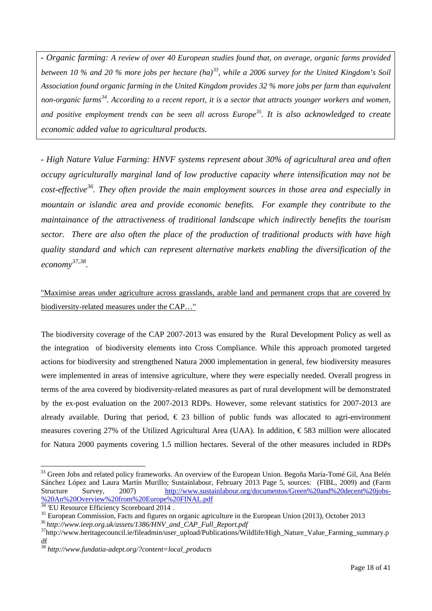*- Organic farming: A review of over 40 European studies found that, on average, organic farms provided between 10 % and 20 % more jobs per hectare (ha)[33](#page-18-0), while a 2006 survey for the United Kingdom's Soil Association found organic farming in the United Kingdom provides 32 % more jobs per farm than equivalent non-organic farms[34](#page-18-1). According to a recent report, it is a sector that attracts younger workers and women, and positive employment trends can be seen all across Europe[35](#page-18-2). It is also acknowledged to create economic added value to agricultural products.*

*- High Nature Value Farming: HNVF systems represent about 30% of agricultural area and often occupy agriculturally marginal land of low productive capacity where intensification may not be cost-effective[36.](#page-18-3) They often provide the main employment sources in those area and especially in mountain or islandic area and provide economic benefits. For example they contribute to the maintainance of the attractiveness of traditional landscape which indirectly benefits the tourism sector. There are also often the place of the production of traditional products with have high quality standard and which can represent alternative markets enabling the diversification of the economy [37,](#page-18-4)[38](#page-18-5).*

## "Maximise areas under agriculture across grasslands, arable land and permanent crops that are covered by biodiversity-related measures under the CAP…"

The biodiversity coverage of the CAP 2007-2013 was ensured by the Rural Development Policy as well as the integration of biodiversity elements into Cross Compliance. While this approach promoted targeted actions for biodiversity and strengthened Natura 2000 implementation in general, few biodiversity measures were implemented in areas of intensive agriculture, where they were especially needed. Overall progress in terms of the area covered by biodiversity-related measures as part of rural development will be demonstrated by the ex-post evaluation on the 2007-2013 RDPs. However, some relevant statistics for 2007-2013 are already available. During that period,  $\epsilon$  23 billion of public funds was allocated to agri-environment measures covering 27% of the Utilized Agricultural Area (UAA). In addition, € 583 million were allocated for Natura 2000 payments covering 1.5 million hectares. Several of the other measures included in RDPs

<span id="page-18-0"></span><sup>&</sup>lt;sup>33</sup> Green Jobs and related policy frameworks. An overview of the European Union. Begoña María-Tomé Gil, Ana Belén Sánchez López and Laura Martín Murillo; Sustainlabour, February 2013 Page 5, sources: (FIBL, 2009) and (Farm Structure Survey, 2007) [http://www.sustainlabour.org/documentos/Green%20and%20decent%20jobs-](http://www.sustainlabour.org/documentos/Green%20and%20decent%20jobs-%20An%20Overview%20from%20Europe%20FINAL.pdf) [%20An%20Overview%20from%20Europe%20FINAL.pdf](http://www.sustainlabour.org/documentos/Green%20and%20decent%20jobs-%20An%20Overview%20from%20Europe%20FINAL.pdf)<br><sup>34</sup> 'EU Resource Efficiency Scoreboard 2014.

<span id="page-18-4"></span><span id="page-18-3"></span>

<span id="page-18-2"></span><span id="page-18-1"></span><sup>&</sup>lt;sup>35</sup> European Commission, Facts and figures on organic agriculture in the European Union (2013), October 2013<br><sup>36</sup> http://www.ieep.org.uk/assets/1386/HNV\_and\_CAP\_Full\_Report.pdf<br><sup>37</sup>http://www.heritagecouncil.ie/fileadmin df

<span id="page-18-5"></span><sup>38</sup> *http://www.fundatia-adept.org/?content=local\_products*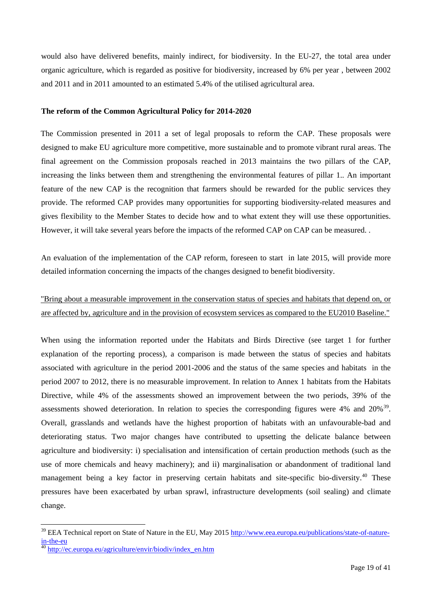would also have delivered benefits, mainly indirect, for biodiversity. In the EU-27, the total area under organic agriculture, which is regarded as positive for biodiversity, increased by 6% per year , between 2002 and 2011 and in 2011 amounted to an estimated 5.4% of the utilised agricultural area.

#### **The reform of the Common Agricultural Policy for 2014-2020**

The Commission presented in 2011 a set of legal proposals to reform the CAP. These proposals were designed to make EU agriculture more competitive, more sustainable and to promote vibrant rural areas. The final agreement on the Commission proposals reached in 2013 maintains the two pillars of the CAP, increasing the links between them and strengthening the environmental features of pillar 1.. An important feature of the new CAP is the recognition that farmers should be rewarded for the public services they provide. The reformed CAP provides many opportunities for supporting biodiversity-related measures and gives flexibility to the Member States to decide how and to what extent they will use these opportunities. However, it will take several years before the impacts of the reformed CAP on CAP can be measured. .

An evaluation of the implementation of the CAP reform, foreseen to start in late 2015, will provide more detailed information concerning the impacts of the changes designed to benefit biodiversity.

## "Bring about a measurable improvement in the conservation status of species and habitats that depend on, or are affected by, agriculture and in the provision of ecosystem services as compared to the EU2010 Baseline."

When using the information reported under the Habitats and Birds Directive (see target 1 for further explanation of the reporting process), a comparison is made between the status of species and habitats associated with agriculture in the period 2001-2006 and the status of the same species and habitats in the period 2007 to 2012, there is no measurable improvement. In relation to Annex 1 habitats from the Habitats Directive, while 4% of the assessments showed an improvement between the two periods, 39% of the assessments showed deterioration. In relation to species the corresponding figures were 4% and  $20\%$ <sup>39</sup>. Overall, grasslands and wetlands have the highest proportion of habitats with an unfavourable-bad and deteriorating status. Two major changes have contributed to upsetting the delicate balance between agriculture and biodiversity: i) specialisation and intensification of certain production methods (such as the use of more chemicals and heavy machinery); and ii) marginalisation or abandonment of traditional land management being a key factor in preserving certain habitats and site-specific bio-diversity.<sup>[40](#page-19-1)</sup> These pressures have been exacerbated by urban sprawl, infrastructure developments (soil sealing) and climate change.

<span id="page-19-0"></span><sup>&</sup>lt;sup>39</sup> EEA Technical report on State of Nature in the EU, May 2015 [http://www.eea.europa.eu/publications/state-of-nature](http://www.eea.europa.eu/publications/state-of-nature-in-the-eu)in-the-eu<br><sup>40</sup> [http://ec.europa.eu/agriculture/envir/biodiv/index\\_en.htm](http://ec.europa.eu/agriculture/envir/biodiv/index_en.htm)

<span id="page-19-1"></span>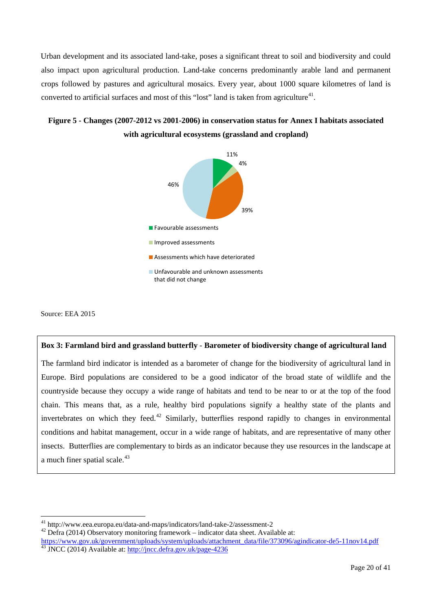Urban development and its associated land-take, poses a significant threat to soil and biodiversity and could also impact upon agricultural production. Land-take concerns predominantly arable land and permanent crops followed by pastures and agricultural mosaics. Every year, about 1000 square kilometres of land is converted to artificial surfaces and most of this "lost" land is taken from agriculture<sup>[41](#page-20-0)</sup>.

## **Figure 5 - Changes (2007-2012 vs 2001-2006) in conservation status for Annex I habitats associated with agricultural ecosystems (grassland and cropland)**



Source: EEA 2015

#### **Box 3: Farmland bird and grassland butterfly** - **Barometer of biodiversity change of agricultural land**

The farmland bird indicator is intended as a barometer of change for the biodiversity of agricultural land in Europe. Bird populations are considered to be a good indicator of the broad state of wildlife and the countryside because they occupy a wide range of habitats and tend to be near to or at the top of the food chain. This means that, as a rule, healthy bird populations signify a healthy state of the plants and invertebrates on which they feed.<sup>[42](#page-20-1)</sup> Similarly, butterflies respond rapidly to changes in environmental conditions and habitat management, occur in a wide range of habitats, and are representative of many other insects. Butterflies are complementary to birds as an indicator because they use resources in the landscape at a much finer spatial scale. $43$ 

<span id="page-20-0"></span><sup>41</sup> http://www.eea.europa.eu/data-and-maps/indicators/land-take-2/assessment-2  $^{42}$  Defra (2014) Observatory monitoring framework – indicator data sheet. Available at:

<span id="page-20-2"></span><span id="page-20-1"></span>[https://www.gov.uk/government/uploads/system/uploads/attachment\\_data/file/373096/agindicator-de5-11nov14.pdf](https://www.gov.uk/government/uploads/system/uploads/attachment_data/file/373096/agindicator-de5-11nov14.pdf) 43 JNCC (2014) Available at[: http://jncc.defra.gov.uk/page-4236](http://jncc.defra.gov.uk/page-4236)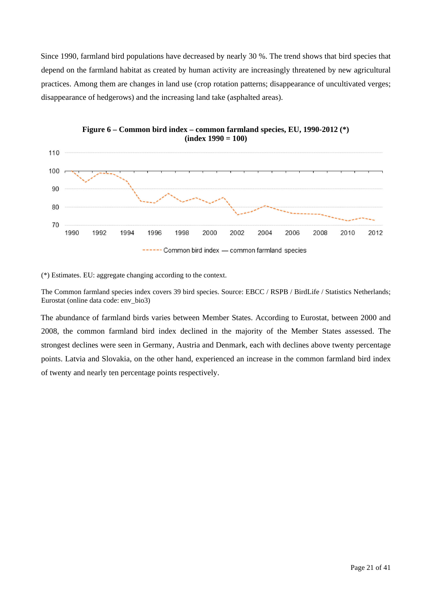Since 1990, farmland bird populations have decreased by nearly 30 %. The trend shows that bird species that depend on the farmland habitat as created by human activity are increasingly threatened by new agricultural practices. Among them are changes in land use (crop rotation patterns; disappearance of uncultivated verges; disappearance of hedgerows) and the increasing land take (asphalted areas).





(\*) Estimates. EU: aggregate changing according to the context.

The Common farmland species index covers 39 bird species. Source: EBCC / RSPB / BirdLife / Statistics Netherlands; Eurostat (online data code: env\_bio3)

The abundance of farmland birds varies between Member States. According to Eurostat, between 2000 and 2008, the common farmland bird index declined in the majority of the Member States assessed. The strongest declines were seen in Germany, Austria and Denmark, each with declines above twenty percentage points. Latvia and Slovakia, on the other hand, experienced an increase in the common farmland bird index of twenty and nearly ten percentage points respectively.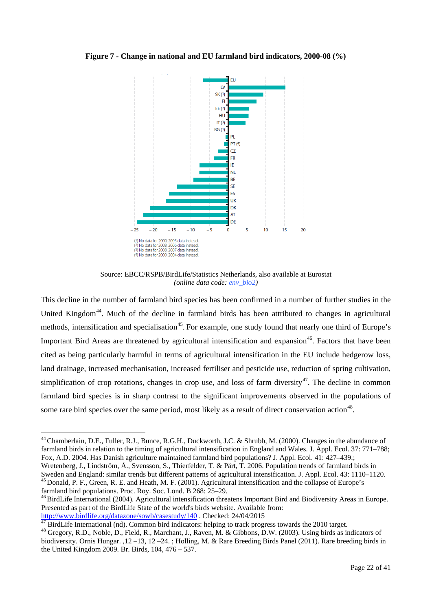#### **Figure 7 - Change in national and EU farmland bird indicators, 2000-08 (%)**



Source: EBCC/RSPB/BirdLife/Statistics Netherlands, also available at Eurostat *(online data code: env\_bio2)*

This decline in the number of farmland bird species has been confirmed in a number of further studies in the United Kingdom<sup>44</sup>. Much of the decline in farmland birds has been attributed to changes in agricultural methods, intensification and specialisation<sup>[45](#page-22-1)</sup>. For example, one study found that nearly one third of Europe's Important Bird Areas are threatened by agricultural intensification and expansion<sup>[46](#page-22-2)</sup>. Factors that have been cited as being particularly harmful in terms of agricultural intensification in the EU include hedgerow loss, land drainage, increased mechanisation, increased fertiliser and pesticide use, reduction of spring cultivation, simplification of crop rotations, changes in crop use, and loss of farm diversity<sup>[47](#page-22-3)</sup>. The decline in common farmland bird species is in sharp contrast to the significant improvements observed in the populations of some rare bird species over the same period, most likely as a result of direct conservation action<sup>[48](#page-22-4)</sup>.

<span id="page-22-0"></span><sup>44</sup> Chamberlain, D.E., Fuller, R.J., Bunce, R.G.H., Duckworth, J.C. & Shrubb, M. (2000). Changes in the abundance of farmland birds in relation to the timing of agricultural intensification in England and Wales. J. Appl. Ecol. 37: 771–788; Fox, A.D. 2004. Has Danish agriculture maintained farmland bird populations? J. Appl. Ecol. 41: 427–439.;

Wretenberg, J., Lindström, Å., Svensson, S., Thierfelder, T. & Pärt, T. 2006. Population trends of farmland birds in<br>Sweden and England: similar trends but different patterns of agricultural intensification. J. Appl. Ecol. <sup>45</sup> Donald, P. F., Green, R. E. and Heath, M. F. (2001). Agricultural intensification and the collapse of Europe's farmland bird populations. Proc. Roy. Soc. Lond. B 268: 25–29.<br><sup>46</sup>BirdLife International (2004). Agricultural intensification threatens Important Bird and Biodiversity Areas in Europe.

<span id="page-22-2"></span><span id="page-22-1"></span>Presented as part of the BirdLife State of the world's birds website. Available from:

<span id="page-22-4"></span>

<span id="page-22-3"></span>http://www.birdlife.org/datazone/sowb/casestudy/140. Checked: 24/04/2015<br><sup>[47](http://www.birdlife.org/datazone/sowb/casestudy/140)</sup> BirdLife International (nd). Common bird indicators: helping to track progress towards the 2010 target.<br><sup>48</sup> Gregory, R.D., Noble, D., Field, R. biodiversity. Ornis Hungar. ,12 –13, 12 –24. ; Holling, M. & Rare Breeding Birds Panel (2011). Rare breeding birds in the United Kingdom 2009. Br. Birds, 104, 476 – 537.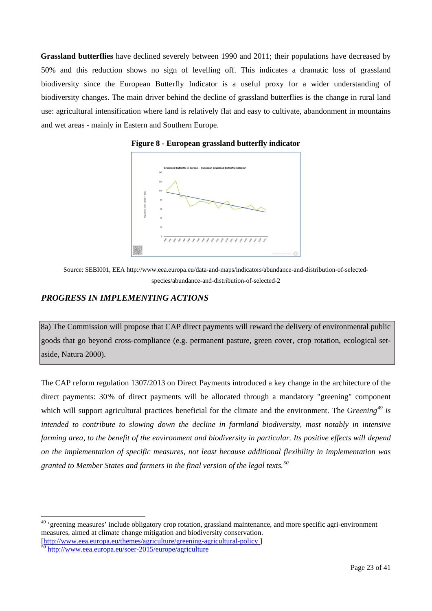**Grassland butterflies** have declined severely between 1990 and 2011; their populations have decreased by 50% and this reduction shows no sign of levelling off. This indicates a dramatic loss of grassland biodiversity since the European Butterfly Indicator is a useful proxy for a wider understanding of biodiversity changes. The main driver behind the decline of grassland butterflies is the change in rural land use: agricultural intensification where land is relatively flat and easy to cultivate, abandonment in mountains and wet areas - mainly in Eastern and Southern Europe.



**Figure 8 - European grassland butterfly indicator**

### *PROGRESS IN IMPLEMENTING ACTIONS*

8a) The Commission will propose that CAP direct payments will reward the delivery of environmental public goods that go beyond cross-compliance (e.g. permanent pasture, green cover, crop rotation, ecological setaside, Natura 2000).

The CAP reform regulation 1307/2013 on Direct Payments introduced a key change in the architecture of the direct payments: 30% of direct payments will be allocated through a mandatory "greening" component which will support agricultural practices beneficial for the climate and the environment. The G*reening[49](#page-23-0) is intended to contribute to slowing down the decline in farmland biodiversity, most notably in intensive farming area, to the benefit of the environment and biodiversity in particular. Its positive effects will depend on the implementation of specific measures, not least because additional flexibility in implementation was granted to Member States and farmers in the final version of the legal texts.[50](#page-23-1)*

 $\overline{a}$ 

Source: SEBI001, EEA http://www.eea.europa.eu/data-and-maps/indicators/abundance-and-distribution-of-selectedspecies/abundance-and-distribution-of-selected-2

<span id="page-23-0"></span><sup>&</sup>lt;sup>49</sup> 'greening measures' include obligatory crop rotation, grassland maintenance, and more specific agri-environment measures, aimed at climate change mitigation and biodiversity conservation. [\[http://www.eea.europa.eu/themes/agriculture/greening-agricultural-policy](http://www.eea.europa.eu/themes/agriculture/greening-agricultural-policy) ] <sup>50</sup> <http://www.eea.europa.eu/soer-2015/europe/agriculture>

<span id="page-23-1"></span>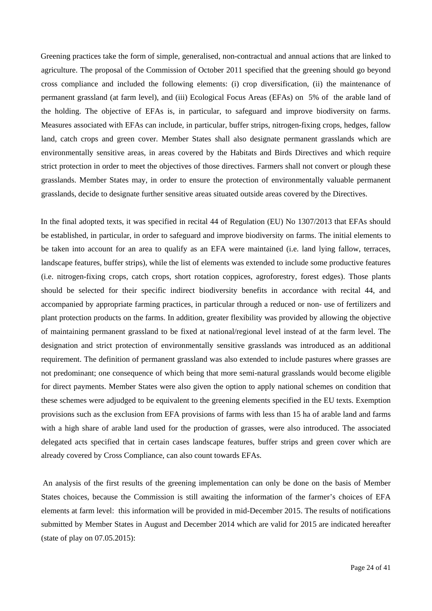Greening practices take the form of simple, generalised, non-contractual and annual actions that are linked to agriculture. The proposal of the Commission of October 2011 specified that the greening should go beyond cross compliance and included the following elements: (i) crop diversification, (ii) the maintenance of permanent grassland (at farm level), and (iii) Ecological Focus Areas (EFAs) on 5% of the arable land of the holding. The objective of EFAs is, in particular, to safeguard and improve biodiversity on farms. Measures associated with EFAs can include, in particular, buffer strips, nitrogen-fixing crops, hedges, fallow land, catch crops and green cover. Member States shall also designate permanent grasslands which are environmentally sensitive areas, in areas covered by the Habitats and Birds Directives and which require strict protection in order to meet the objectives of those directives. Farmers shall not convert or plough these grasslands. Member States may, in order to ensure the protection of environmentally valuable permanent grasslands, decide to designate further sensitive areas situated outside areas covered by the Directives.

In the final adopted texts, it was specified in recital 44 of Regulation (EU) No 1307/2013 that EFAs should be established, in particular, in order to safeguard and improve biodiversity on farms. The initial elements to be taken into account for an area to qualify as an EFA were maintained (i.e. land lying fallow, terraces, landscape features, buffer strips), while the list of elements was extended to include some productive features (i.e. nitrogen-fixing crops, catch crops, short rotation coppices, agroforestry, forest edges). Those plants should be selected for their specific indirect biodiversity benefits in accordance with recital 44, and accompanied by appropriate farming practices, in particular through a reduced or non- use of fertilizers and plant protection products on the farms. In addition, greater flexibility was provided by allowing the objective of maintaining permanent grassland to be fixed at national/regional level instead of at the farm level. The designation and strict protection of environmentally sensitive grasslands was introduced as an additional requirement. The definition of permanent grassland was also extended to include pastures where grasses are not predominant; one consequence of which being that more semi-natural grasslands would become eligible for direct payments. Member States were also given the option to apply national schemes on condition that these schemes were adjudged to be equivalent to the greening elements specified in the EU texts. Exemption provisions such as the exclusion from EFA provisions of farms with less than 15 ha of arable land and farms with a high share of arable land used for the production of grasses, were also introduced. The associated delegated acts specified that in certain cases landscape features, buffer strips and green cover which are already covered by Cross Compliance, can also count towards EFAs.

An analysis of the first results of the greening implementation can only be done on the basis of Member States choices, because the Commission is still awaiting the information of the farmer's choices of EFA elements at farm level: this information will be provided in mid-December 2015. The results of notifications submitted by Member States in August and December 2014 which are valid for 2015 are indicated hereafter (state of play on 07.05.2015):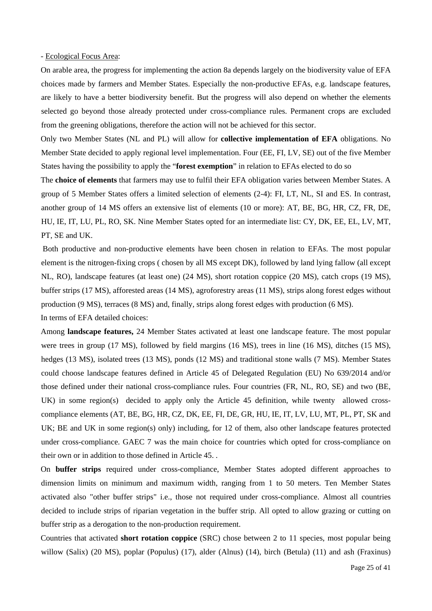#### - Ecological Focus Area:

On arable area, the progress for implementing the action 8a depends largely on the biodiversity value of EFA choices made by farmers and Member States. Especially the non-productive EFAs, e.g. landscape features, are likely to have a better biodiversity benefit. But the progress will also depend on whether the elements selected go beyond those already protected under cross-compliance rules. Permanent crops are excluded from the greening obligations, therefore the action will not be achieved for this sector.

Only two Member States (NL and PL) will allow for **collective implementation of EFA** obligations. No Member State decided to apply regional level implementation. Four (EE, FI, LV, SE) out of the five Member States having the possibility to apply the "**forest exemption**" in relation to EFAs elected to do so

The **choice of elements** that farmers may use to fulfil their EFA obligation varies between Member States. A group of 5 Member States offers a limited selection of elements (2-4): FI, LT, NL, SI and ES. In contrast, another group of 14 MS offers an extensive list of elements (10 or more): AT, BE, BG, HR, CZ, FR, DE, HU, IE, IT, LU, PL, RO, SK. Nine Member States opted for an intermediate list: CY, DK, EE, EL, LV, MT, PT, SE and UK.

Both productive and non-productive elements have been chosen in relation to EFAs. The most popular element is the nitrogen-fixing crops ( chosen by all MS except DK), followed by land lying fallow (all except NL, RO), landscape features (at least one) (24 MS), short rotation coppice (20 MS), catch crops (19 MS), buffer strips (17 MS), afforested areas (14 MS), agroforestry areas (11 MS), strips along forest edges without production (9 MS), terraces (8 MS) and, finally, strips along forest edges with production (6 MS).

In terms of EFA detailed choices:

Among **landscape features,** 24 Member States activated at least one landscape feature. The most popular were trees in group (17 MS), followed by field margins (16 MS), trees in line (16 MS), ditches (15 MS), hedges (13 MS), isolated trees (13 MS), ponds (12 MS) and traditional stone walls (7 MS). Member States could choose landscape features defined in Article 45 of Delegated Regulation (EU) No 639/2014 and/or those defined under their national cross-compliance rules. Four countries (FR, NL, RO, SE) and two (BE, UK) in some region(s) decided to apply only the Article 45 definition, while twenty allowed crosscompliance elements (AT, BE, BG, HR, CZ, DK, EE, FI, DE, GR, HU, IE, IT, LV, LU, MT, PL, PT, SK and UK; BE and UK in some region(s) only) including, for 12 of them, also other landscape features protected under cross-compliance. GAEC 7 was the main choice for countries which opted for cross-compliance on their own or in addition to those defined in Article 45. .

On **buffer strips** required under cross-compliance, Member States adopted different approaches to dimension limits on minimum and maximum width, ranging from 1 to 50 meters. Ten Member States activated also "other buffer strips" i.e., those not required under cross-compliance. Almost all countries decided to include strips of riparian vegetation in the buffer strip. All opted to allow grazing or cutting on buffer strip as a derogation to the non-production requirement.

Countries that activated **short rotation coppice** (SRC) chose between 2 to 11 species, most popular being willow (Salix) (20 MS), poplar (Populus) (17), alder (Alnus) (14), birch (Betula) (11) and ash (Fraxinus)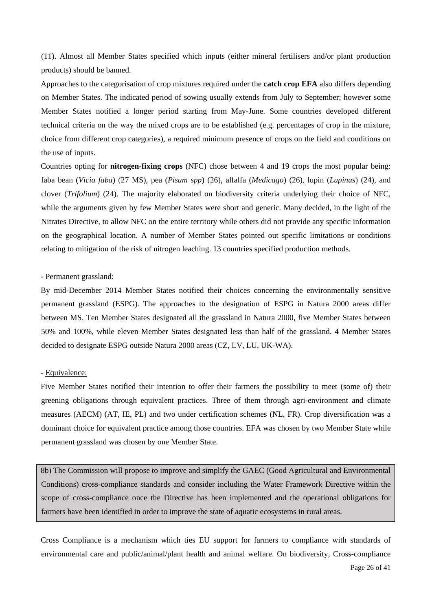(11). Almost all Member States specified which inputs (either mineral fertilisers and/or plant production products) should be banned.

Approaches to the categorisation of crop mixtures required under the **catch crop EFA** also differs depending on Member States. The indicated period of sowing usually extends from July to September; however some Member States notified a longer period starting from May-June. Some countries developed different technical criteria on the way the mixed crops are to be established (e.g. percentages of crop in the mixture, choice from different crop categories), a required minimum presence of crops on the field and conditions on the use of inputs.

Countries opting for **nitrogen-fixing crops** (NFC) chose between 4 and 19 crops the most popular being: faba bean (*Vicia faba*) (27 MS), pea (*Pisum spp*) (26), alfalfa (*Medicago*) (26), lupin (*Lupinus*) (24), and clover (*Trifolium*) (24). The majority elaborated on biodiversity criteria underlying their choice of NFC, while the arguments given by few Member States were short and generic. Many decided, in the light of the Nitrates Directive, to allow NFC on the entire territory while others did not provide any specific information on the geographical location. A number of Member States pointed out specific limitations or conditions relating to mitigation of the risk of nitrogen leaching. 13 countries specified production methods.

#### - Permanent grassland:

By mid-December 2014 Member States notified their choices concerning the environmentally sensitive permanent grassland (ESPG). The approaches to the designation of ESPG in Natura 2000 areas differ between MS. Ten Member States designated all the grassland in Natura 2000, five Member States between 50% and 100%, while eleven Member States designated less than half of the grassland. 4 Member States decided to designate ESPG outside Natura 2000 areas (CZ, LV, LU, UK-WA).

#### - Equivalence:

Five Member States notified their intention to offer their farmers the possibility to meet (some of) their greening obligations through equivalent practices. Three of them through agri-environment and climate measures (AECM) (AT, IE, PL) and two under certification schemes (NL, FR). Crop diversification was a dominant choice for equivalent practice among those countries. EFA was chosen by two Member State while permanent grassland was chosen by one Member State.

8b) The Commission will propose to improve and simplify the GAEC (Good Agricultural and Environmental Conditions) cross-compliance standards and consider including the Water Framework Directive within the scope of cross-compliance once the Directive has been implemented and the operational obligations for farmers have been identified in order to improve the state of aquatic ecosystems in rural areas.

Cross Compliance is a mechanism which ties EU support for farmers to compliance with standards of environmental care and public/animal/plant health and animal welfare. On biodiversity, Cross-compliance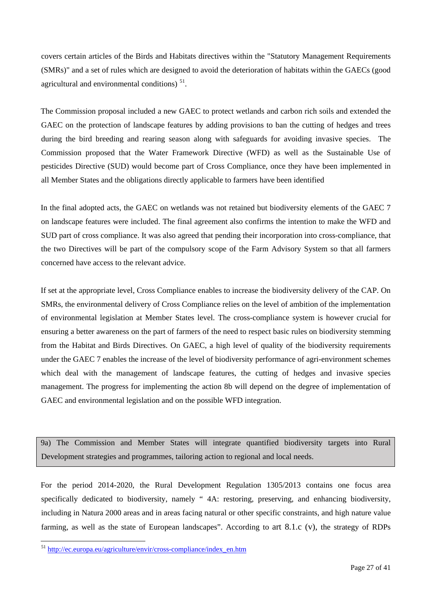covers certain articles of the Birds and Habitats directives within the "Statutory Management Requirements (SMRs)" and a set of rules which are designed to avoid the deterioration of habitats within the GAECs (good agricultural and environmental conditions)  $51$ .

The Commission proposal included a new GAEC to protect wetlands and carbon rich soils and extended the GAEC on the protection of landscape features by adding provisions to ban the cutting of hedges and trees during the bird breeding and rearing season along with safeguards for avoiding invasive species. The Commission proposed that the Water Framework Directive (WFD) as well as the Sustainable Use of pesticides Directive (SUD) would become part of Cross Compliance, once they have been implemented in all Member States and the obligations directly applicable to farmers have been identified

In the final adopted acts, the GAEC on wetlands was not retained but biodiversity elements of the GAEC 7 on landscape features were included. The final agreement also confirms the intention to make the WFD and SUD part of cross compliance. It was also agreed that pending their incorporation into cross-compliance, that the two Directives will be part of the compulsory scope of the Farm Advisory System so that all farmers concerned have access to the relevant advice.

If set at the appropriate level, Cross Compliance enables to increase the biodiversity delivery of the CAP. On SMRs, the environmental delivery of Cross Compliance relies on the level of ambition of the implementation of environmental legislation at Member States level. The cross-compliance system is however crucial for ensuring a better awareness on the part of farmers of the need to respect basic rules on biodiversity stemming from the Habitat and Birds Directives. On GAEC, a high level of quality of the biodiversity requirements under the GAEC 7 enables the increase of the level of biodiversity performance of agri-environment schemes which deal with the management of landscape features, the cutting of hedges and invasive species management. The progress for implementing the action 8b will depend on the degree of implementation of GAEC and environmental legislation and on the possible WFD integration.

9a) The Commission and Member States will integrate quantified biodiversity targets into Rural Development strategies and programmes, tailoring action to regional and local needs.

For the period 2014-2020, the Rural Development Regulation 1305/2013 contains one focus area specifically dedicated to biodiversity, namely " 4A: restoring, preserving, and enhancing biodiversity, including in Natura 2000 areas and in areas facing natural or other specific constraints, and high nature value farming, as well as the state of European landscapes". According to art 8.1.c (v), the strategy of RDPs

<span id="page-27-0"></span> <sup>51</sup> [http://ec.europa.eu/agriculture/envir/cross-compliance/index\\_en.htm](http://ec.europa.eu/agriculture/envir/cross-compliance/index_en.htm)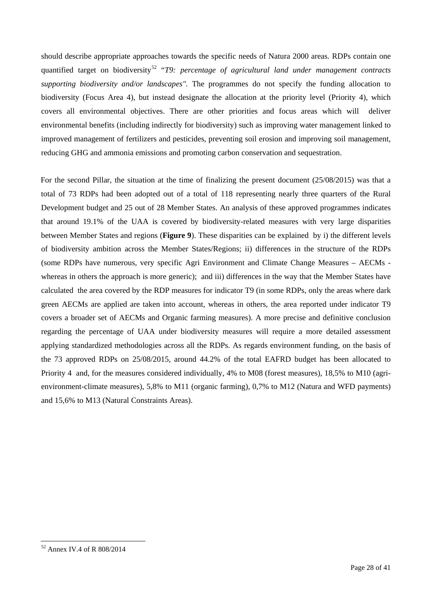should describe appropriate approaches towards the specific needs of Natura 2000 areas. RDPs contain one quantified target on biodiversity[52](#page-28-0) "*T9: percentage of agricultural land under management contracts supporting biodiversity and/or landscapes"*. The programmes do not specify the funding allocation to biodiversity (Focus Area 4), but instead designate the allocation at the priority level (Priority 4), which covers all environmental objectives. There are other priorities and focus areas which will deliver environmental benefits (including indirectly for biodiversity) such as improving water management linked to improved management of fertilizers and pesticides, preventing soil erosion and improving soil management, reducing GHG and ammonia emissions and promoting carbon conservation and sequestration.

For the second Pillar, the situation at the time of finalizing the present document (25/08/2015) was that a total of 73 RDPs had been adopted out of a total of 118 representing nearly three quarters of the Rural Development budget and 25 out of 28 Member States. An analysis of these approved programmes indicates that around 19.1% of the UAA is covered by biodiversity-related measures with very large disparities between Member States and regions (**Figure 9**). These disparities can be explained by i) the different levels of biodiversity ambition across the Member States/Regions; ii) differences in the structure of the RDPs (some RDPs have numerous, very specific Agri Environment and Climate Change Measures – AECMs whereas in others the approach is more generic); and iii) differences in the way that the Member States have calculated the area covered by the RDP measures for indicator T9 (in some RDPs, only the areas where dark green AECMs are applied are taken into account, whereas in others, the area reported under indicator T9 covers a broader set of AECMs and Organic farming measures). A more precise and definitive conclusion regarding the percentage of UAA under biodiversity measures will require a more detailed assessment applying standardized methodologies across all the RDPs. As regards environment funding, on the basis of the 73 approved RDPs on 25/08/2015, around 44.2% of the total EAFRD budget has been allocated to Priority 4 and, for the measures considered individually, 4% to M08 (forest measures), 18,5% to M10 (agrienvironment-climate measures), 5,8% to M11 (organic farming), 0,7% to M12 (Natura and WFD payments) and 15,6% to M13 (Natural Constraints Areas).

<span id="page-28-0"></span> <sup>52</sup> Annex IV.4 of R 808/2014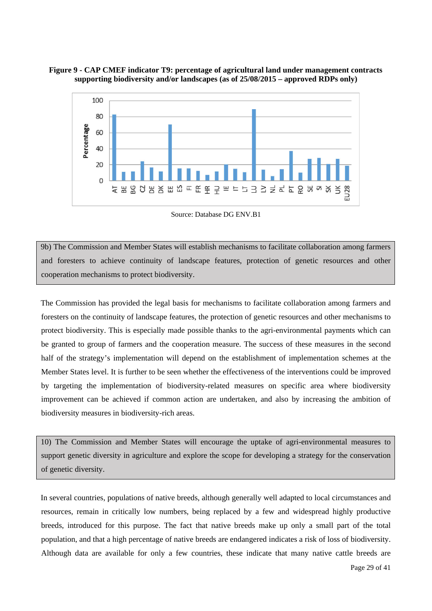### **Figure 9 - CAP CMEF indicator T9: percentage of agricultural land under management contracts supporting biodiversity and/or landscapes (as of 25/08/2015 – approved RDPs only)**



Source: Database DG ENV B1

9b) The Commission and Member States will establish mechanisms to facilitate collaboration among farmers and foresters to achieve continuity of landscape features, protection of genetic resources and other cooperation mechanisms to protect biodiversity.

The Commission has provided the legal basis for mechanisms to facilitate collaboration among farmers and foresters on the continuity of landscape features, the protection of genetic resources and other mechanisms to protect biodiversity. This is especially made possible thanks to the agri-environmental payments which can be granted to group of farmers and the cooperation measure. The success of these measures in the second half of the strategy's implementation will depend on the establishment of implementation schemes at the Member States level. It is further to be seen whether the effectiveness of the interventions could be improved by targeting the implementation of biodiversity-related measures on specific area where biodiversity improvement can be achieved if common action are undertaken, and also by increasing the ambition of biodiversity measures in biodiversity-rich areas.

10) The Commission and Member States will encourage the uptake of agri-environmental measures to support genetic diversity in agriculture and explore the scope for developing a strategy for the conservation of genetic diversity.

In several countries, populations of native breeds, although generally well adapted to local circumstances and resources, remain in critically low numbers, being replaced by a few and widespread highly productive breeds, introduced for this purpose. The fact that native breeds make up only a small part of the total population, and that a high percentage of native breeds are endangered indicates a risk of loss of biodiversity. Although data are available for only a few countries, these indicate that many native cattle breeds are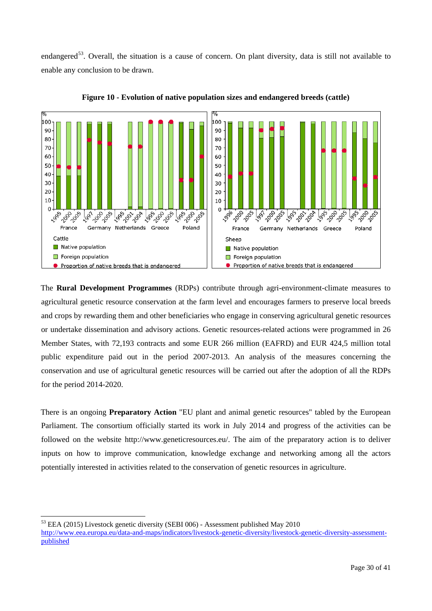endangered<sup>53</sup>. Overall, the situation is a cause of concern. On plant diversity, data is still not available to enable any conclusion to be drawn.



**Figure 10 - Evolution of native population sizes and endangered breeds (cattle)**

The **Rural Development Programmes** (RDPs) contribute through agri-environment-climate measures to agricultural genetic resource conservation at the farm level and encourages farmers to preserve local breeds and crops by rewarding them and other beneficiaries who engage in conserving agricultural genetic resources or undertake dissemination and advisory actions. Genetic resources-related actions were programmed in 26 Member States, with 72,193 contracts and some EUR 266 million (EAFRD) and EUR 424,5 million total public expenditure paid out in the period 2007-2013. An analysis of the measures concerning the conservation and use of agricultural genetic resources will be carried out after the adoption of all the RDPs for the period 2014-2020.

There is an ongoing **Preparatory Action** "EU plant and animal genetic resources" tabled by the European Parliament. The consortium officially started its work in July 2014 and progress of the activities can be followed on the website http://www.geneticresources.eu/. The aim of the preparatory action is to deliver inputs on how to improve communication, knowledge exchange and networking among all the actors potentially interested in activities related to the conservation of genetic resources in agriculture.

<span id="page-30-0"></span> <sup>53</sup> EEA (2015) Livestock genetic diversity (SEBI 006) - Assessment published May 2010

[http://www.eea.europa.eu/data-and-maps/indicators/livestock-genetic-diversity/livestock-genetic-diversity-assessment](http://www.eea.europa.eu/data-and-maps/indicators/livestock-genetic-diversity/livestock-genetic-diversity-assessment-published)[published](http://www.eea.europa.eu/data-and-maps/indicators/livestock-genetic-diversity/livestock-genetic-diversity-assessment-published)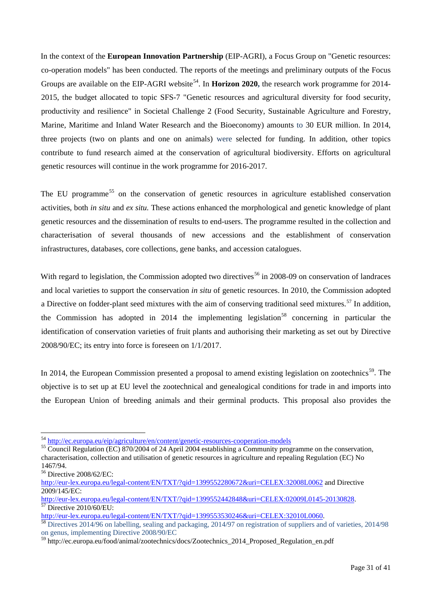In the context of the **European Innovation Partnership** (EIP-AGRI), a Focus Group on "Genetic resources: co-operation models" has been conducted. The reports of the meetings and preliminary outputs of the Focus Groups are available on the EIP-AGRI website<sup>54</sup>. In **Horizon 2020**, the research work programme for 2014-2015, the budget allocated to topic SFS-7 "Genetic resources and agricultural diversity for food security, productivity and resilience" in Societal Challenge 2 (Food Security, Sustainable Agriculture and Forestry, Marine, Maritime and Inland Water Research and the Bioeconomy) amounts to 30 EUR million. In 2014, three projects (two on plants and one on animals) were selected for funding. In addition, other topics contribute to fund research aimed at the conservation of agricultural biodiversity. Efforts on agricultural genetic resources will continue in the work programme for 2016-2017.

The EU programme<sup>[55](#page-31-1)</sup> on the conservation of genetic resources in agriculture established conservation activities, both *in situ* and *ex situ.* These actions enhanced the morphological and genetic knowledge of plant genetic resources and the dissemination of results to end-users. The programme resulted in the collection and characterisation of several thousands of new accessions and the establishment of conservation infrastructures, databases, core collections, gene banks, and accession catalogues.

With regard to legislation, the Commission adopted two directives<sup>[56](#page-31-2)</sup> in 2008-09 on conservation of landraces and local varieties to support the conservation *in situ* of genetic resources. In 2010, the Commission adopted a Directive on fodder-plant seed mixtures with the aim of conserving traditional seed mixtures.<sup>[57](#page-31-3)</sup> In addition, the Commission has adopted in 2014 the implementing legislation<sup>[58](#page-31-4)</sup> concerning in particular the identification of conservation varieties of fruit plants and authorising their marketing as set out by Directive 2008/90/EC; its entry into force is foreseen on 1/1/2017.

In 2014, the European Commission presented a proposal to amend existing legislation on zootechnics<sup>59</sup>. The objective is to set up at EU level the zootechnical and genealogical conditions for trade in and imports into the European Union of breeding animals and their germinal products. This proposal also provides the

<span id="page-31-1"></span><span id="page-31-0"></span> $^{54}$  <http://ec.europa.eu/eip/agriculture/en/content/genetic-resources-cooperation-models><br> $^{55}$  Council Regulation (EC) 870/2004 of 24 April 2004 establishing a Community programme on the conservation, characterisation, collection and utilisation of genetic resources in agriculture and repealing Regulation (EC) No 1467/94.

<span id="page-31-2"></span><sup>56</sup> Directive 2008/62/EC:

<http://eur-lex.europa.eu/legal-content/EN/TXT/?qid=1399552280672&uri=CELEX:32008L0062> and Directive 2009/145/EC:

<span id="page-31-3"></span>[http://eur-lex.europa.eu/legal-content/EN/TXT/?qid=1399552442848&uri=CELEX:02009L0145-20130828.](http://eur-lex.europa.eu/legal-content/EN/TXT/?qid=1399552442848&uri=CELEX:02009L0145-20130828)<br><sup>57</sup> Directive 2010/60/EU:<br>http://eur-lex.europa.eu/legal-content/EN/TXT/?qid=1399553530246&uri=CELEX:32010L0060.

<span id="page-31-4"></span>http://eur-lex.europa.eu/legal-content/EN/TXT/?qid=139953533030246 content content content content of suppliers and of varieties, 2014/98 on genus, implementing Directive 2008/90/EC

<span id="page-31-5"></span><sup>59</sup> http://ec.europa.eu/food/animal/zootechnics/docs/Zootechnics\_2014\_Proposed\_Regulation\_en.pdf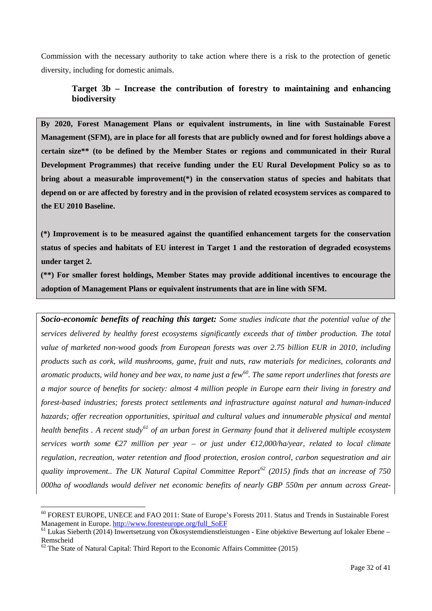Commission with the necessary authority to take action where there is a risk to the protection of genetic diversity, including for domestic animals.

## **Target 3b – Increase the contribution of forestry to maintaining and enhancing biodiversity**

**By 2020, Forest Management Plans or equivalent instruments, in line with Sustainable Forest Management (SFM), are in place for all forests that are publicly owned and for forest holdings above a certain size\*\* (to be defined by the Member States or regions and communicated in their Rural Development Programmes) that receive funding under the EU Rural Development Policy so as to bring about a measurable improvement(\*) in the conservation status of species and habitats that depend on or are affected by forestry and in the provision of related ecosystem services as compared to the EU 2010 Baseline.** 

**(\*) Improvement is to be measured against the quantified enhancement targets for the conservation status of species and habitats of EU interest in Target 1 and the restoration of degraded ecosystems under target 2.**

**(\*\*) For smaller forest holdings, Member States may provide additional incentives to encourage the adoption of Management Plans or equivalent instruments that are in line with SFM.**

*Socio-economic benefits of reaching this target: Some studies indicate that the potential value of the services delivered by healthy forest ecosystems significantly exceeds that of timber production. The total value of marketed non-wood goods from European forests was over 2.75 billion EUR in 2010, including products such as cork, wild mushrooms, game, fruit and nuts, raw materials for medicines, colorants and aromatic products, wild honey and bee wax, to name just a few[60](#page-32-0). The same report underlines that forests are a major source of benefits for society: almost 4 million people in Europe earn their living in forestry and forest-based industries; forests protect settlements and infrastructure against natural and human-induced hazards; offer recreation opportunities, spiritual and cultural values and innumerable physical and mental health benefits . A recent study[61](#page-32-1) of an urban forest in Germany found that it delivered multiple ecosystem services worth some €27 million per year – or just under €12,000/ha/year, related to local climate regulation, recreation, water retention and flood protection, erosion control, carbon sequestration and air quality improvement.. The UK Natural Capital Committee Report[62](#page-32-2) (2015) finds that an increase of 750 000ha of woodlands would deliver net economic benefits of nearly GBP 550m per annum across Great-*

<span id="page-32-0"></span> <sup>60</sup> FOREST EUROPE, UNECE and FAO 2011: State of Europe's Forests 2011. Status and Trends in Sustainable Forest Management in Europe[. http://www.foresteurope.org/full\\_SoEF](http://www.foresteurope.org/full_SoEF)<br><sup>61</sup> Lukas Sieberth (2014) Inwertsetzung von Ökosystemdienstleistungen - Eine objektive Bewertung auf lokaler Ebene –

<span id="page-32-1"></span>Remscheid

<span id="page-32-2"></span> $62$  The State of Natural Capital: Third Report to the Economic Affairs Committee (2015)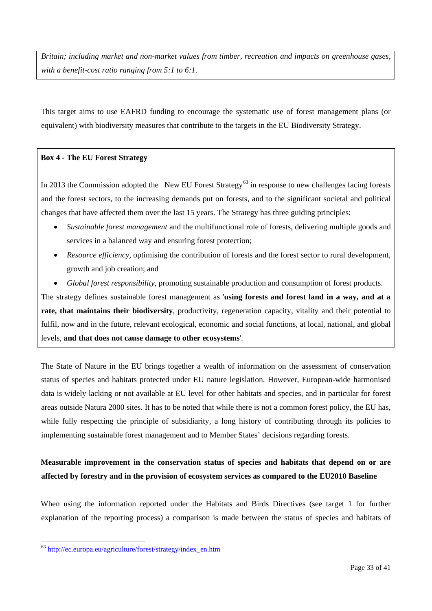*Britain; including market and non-market values from timber, recreation and impacts on greenhouse gases, with a benefit-cost ratio ranging from 5:1 to 6:1.*

This target aims to use EAFRD funding to encourage the systematic use of forest management plans (or equivalent) with biodiversity measures that contribute to the targets in the EU Biodiversity Strategy.

#### **Box 4 - The EU Forest Strategy**

In 2013 the Commission adopted the New EU Forest Strategy<sup>[63](#page-33-0)</sup> in response to new challenges facing forests and the forest sectors, to the increasing demands put on forests, and to the significant societal and political changes that have affected them over the last 15 years. The Strategy has three guiding principles:

- *Sustainable forest management* and the multifunctional role of forests, delivering multiple goods and services in a balanced way and ensuring forest protection;
- *Resource efficiency*, optimising the contribution of forests and the forest sector to rural development, growth and job creation; and
- *Global forest responsibility*, promoting sustainable production and consumption of forest products.

The strategy defines sustainable forest management as '**using forests and forest land in a way, and at a rate, that maintains their biodiversity**, productivity, regeneration capacity, vitality and their potential to fulfil, now and in the future, relevant ecological, economic and social functions, at local, national, and global levels, **and that does not cause damage to other ecosystems**'.

The State of Nature in the EU brings together a wealth of information on the assessment of conservation status of species and habitats protected under EU nature legislation. However, European-wide harmonised data is widely lacking or not available at EU level for other habitats and species, and in particular for forest areas outside Natura 2000 sites. It has to be noted that while there is not a common forest policy, the EU has, while fully respecting the principle of subsidiarity, a long history of contributing through its policies to implementing sustainable forest management and to Member States' decisions regarding forests.

## **Measurable improvement in the conservation status of species and habitats that depend on or are affected by forestry and in the provision of ecosystem services as compared to the EU2010 Baseline**

When using the information reported under the Habitats and Birds Directives (see target 1 for further explanation of the reporting process) a comparison is made between the status of species and habitats of

<span id="page-33-0"></span> <sup>63</sup> [http://ec.europa.eu/agriculture/forest/strategy/index\\_en.htm](http://ec.europa.eu/agriculture/forest/strategy/index_en.htm)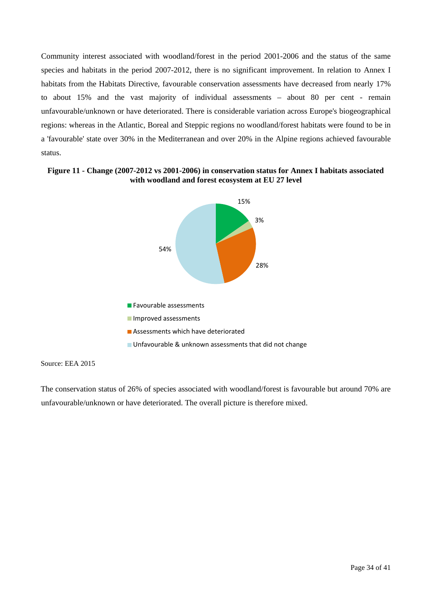Community interest associated with woodland/forest in the period 2001-2006 and the status of the same species and habitats in the period 2007-2012, there is no significant improvement. In relation to Annex I habitats from the Habitats Directive, favourable conservation assessments have decreased from nearly 17% to about 15% and the vast majority of individual assessments – about 80 per cent - remain unfavourable/unknown or have deteriorated. There is considerable variation across Europe's biogeographical regions: whereas in the Atlantic, Boreal and Steppic regions no woodland/forest habitats were found to be in a 'favourable' state over 30% in the Mediterranean and over 20% in the Alpine regions achieved favourable status.

#### **Figure 11 - Change (2007-2012 vs 2001-2006) in conservation status for Annex I habitats associated with woodland and forest ecosystem at EU 27 level**



#### Source: EEA 2015

The conservation status of 26% of species associated with woodland/forest is favourable but around 70% are unfavourable/unknown or have deteriorated. The overall picture is therefore mixed.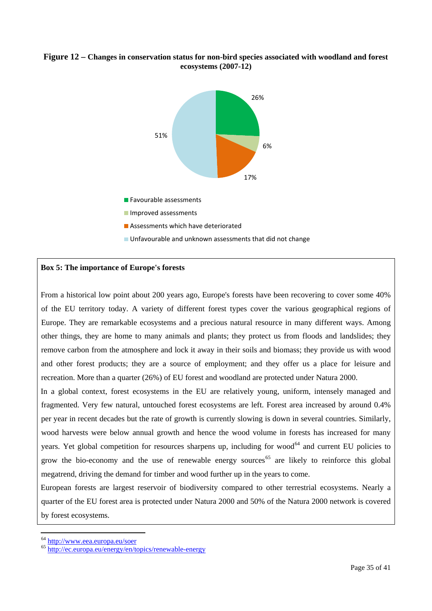#### **Figure 12 – Changes in conservation status for non-bird species associated with woodland and forest ecosystems (2007-12)**



**Assessments which have deteriorated** 

**Unfavourable and unknown assessments that did not change** 

#### **Box 5: The importance of Europe's forests**

From a historical low point about 200 years ago, Europe's forests have been recovering to cover some 40% of the EU territory today. A variety of different forest types cover the various geographical regions of Europe. They are remarkable ecosystems and a precious natural resource in many different ways. Among other things, they are home to many animals and plants; they protect us from floods and landslides; they remove carbon from the atmosphere and lock it away in their soils and biomass; they provide us with wood and other forest products; they are a source of employment; and they offer us a place for leisure and recreation. More than a quarter (26%) of EU forest and woodland are protected under Natura 2000.

In a global context, forest ecosystems in the EU are relatively young, uniform, intensely managed and fragmented. Very few natural, untouched forest ecosystems are left. Forest area increased by around 0.4% per year in recent decades but the rate of growth is currently slowing is down in several countries. Similarly, wood harvests were below annual growth and hence the wood volume in forests has increased for many years. Yet global competition for resources sharpens up, including for wood<sup>[64](#page-35-0)</sup> and current EU policies to grow the bio-economy and the use of renewable energy sources<sup>[65](#page-35-1)</sup> are likely to reinforce this global megatrend, driving the demand for timber and wood further up in the years to come.

European forests are largest reservoir of biodiversity compared to other terrestrial ecosystems. Nearly a quarter of the EU forest area is protected under Natura 2000 and 50% of the Natura 2000 network is covered by forest ecosystems.

<span id="page-35-1"></span><span id="page-35-0"></span><sup>&</sup>lt;sup>64</sup> <http://www.eea.europa.eu/soer><br><sup>65</sup> <http://ec.europa.eu/energy/en/topics/renewable-energy>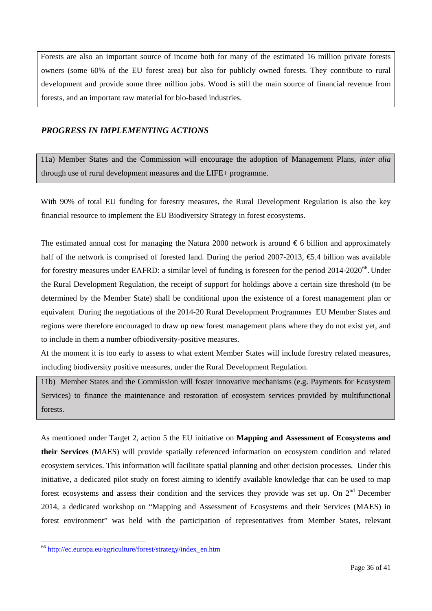Forests are also an important source of income both for many of the estimated 16 million private forests owners (some 60% of the EU forest area) but also for publicly owned forests. They contribute to rural development and provide some three million jobs. Wood is still the main source of financial revenue from forests, and an important raw material for bio-based industries.

## *PROGRESS IN IMPLEMENTING ACTIONS*

11a) Member States and the Commission will encourage the adoption of Management Plans, *inter alia* through use of rural development measures and the LIFE+ programme.

With 90% of total EU funding for forestry measures, the Rural Development Regulation is also the key financial resource to implement the EU Biodiversity Strategy in forest ecosystems.

The estimated annual cost for managing the Natura 2000 network is around  $\epsilon$  6 billion and approximately half of the network is comprised of forested land. During the period 2007-2013,  $\epsilon$ 5.4 billion was available for forestry measures under EAFRD: a similar level of funding is foreseen for the period 2014-2020<sup>66</sup>. Under the Rural Development Regulation, the receipt of support for holdings above a certain size threshold (to be determined by the Member State) shall be conditional upon the existence of a forest management plan or equivalent During the negotiations of the 2014-20 Rural Development Programmes EU Member States and regions were therefore encouraged to draw up new forest management plans where they do not exist yet, and to include in them a number ofbiodiversity-positive measures.

At the moment it is too early to assess to what extent Member States will include forestry related measures, including biodiversity positive measures, under the Rural Development Regulation.

11b) Member States and the Commission will foster innovative mechanisms (e.g. Payments for Ecosystem Services) to finance the maintenance and restoration of ecosystem services provided by multifunctional forests.

As mentioned under Target 2, action 5 the EU initiative on **Mapping and Assessment of Ecosystems and their Services** (MAES) will provide spatially referenced information on ecosystem condition and related ecosystem services. This information will facilitate spatial planning and other decision processes. Under this initiative, a dedicated pilot study on forest aiming to identify available knowledge that can be used to map forest ecosystems and assess their condition and the services they provide was set up. On  $2<sup>nd</sup>$  December 2014, a dedicated workshop on "Mapping and Assessment of Ecosystems and their Services (MAES) in forest environment" was held with the participation of representatives from Member States, relevant

<span id="page-36-0"></span> <sup>66</sup> [http://ec.europa.eu/agriculture/forest/strategy/index\\_en.htm](http://ec.europa.eu/agriculture/forest/strategy/index_en.htm)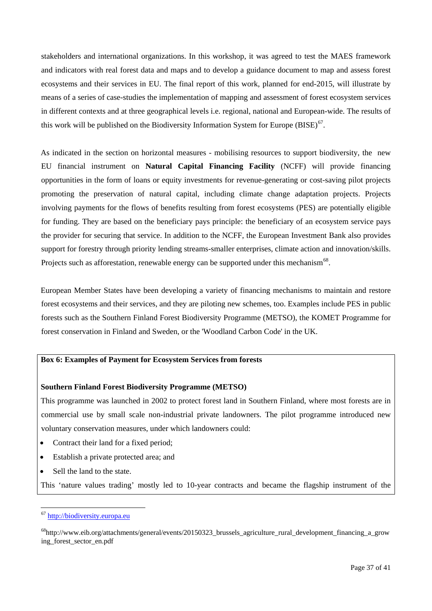stakeholders and international organizations. In this workshop, it was agreed to test the MAES framework and indicators with real forest data and maps and to develop a guidance document to map and assess forest ecosystems and their services in EU. The final report of this work, planned for end-2015, will illustrate by means of a series of case-studies the implementation of mapping and assessment of forest ecosystem services in different contexts and at three geographical levels i.e. regional, national and European-wide. The results of this work will be published on the Biodiversity Information System for Europe (BISE) $67$ .

As indicated in the section on horizontal measures - mobilising resources to support biodiversity, the new EU financial instrument on **Natural Capital Financing Facility** (NCFF) will provide financing opportunities in the form of loans or equity investments for revenue-generating or cost-saving pilot projects promoting the preservation of natural capital, including climate change adaptation projects. Projects involving payments for the flows of benefits resulting from forest ecosystems (PES) are potentially eligible for funding. They are based on the beneficiary pays principle: the beneficiary of an ecosystem service pays the provider for securing that service. In addition to the NCFF, the European Investment Bank also provides support for forestry through priority lending streams-smaller enterprises, climate action and innovation/skills. Projects such as afforestation, renewable energy can be supported under this mechanism<sup>68</sup>.

European Member States have been developing a variety of financing mechanisms to maintain and restore forest ecosystems and their services, and they are piloting new schemes, too. Examples include PES in public forests such as the Southern Finland Forest Biodiversity Programme (METSO), the KOMET Programme for forest conservation in Finland and Sweden, or the 'Woodland Carbon Code' in the UK.

#### **Box 6: Examples of Payment for Ecosystem Services from forests**

#### **Southern Finland Forest Biodiversity Programme (METSO)**

This programme was launched in 2002 to protect forest land in Southern Finland, where most forests are in commercial use by small scale non-industrial private landowners. The pilot programme introduced new voluntary conservation measures, under which landowners could:

- Contract their land for a fixed period:
- Establish a private protected area; and
- Sell the land to the state.

This 'nature values trading' mostly led to 10-year contracts and became the flagship instrument of the

<span id="page-37-0"></span> <sup>67</sup> [http://biodiversity.europa.eu](http://biodiversity.europa.eu/)

<span id="page-37-1"></span><sup>68</sup>http://www.eib.org/attachments/general/events/20150323\_brussels\_agriculture\_rural\_development\_financing\_a\_grow ing\_forest\_sector\_en.pdf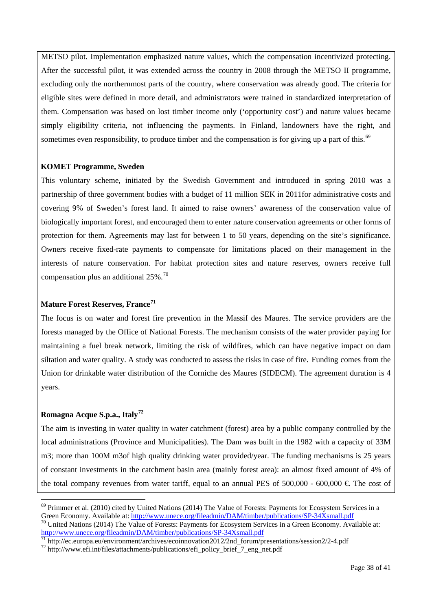METSO pilot. Implementation emphasized nature values, which the compensation incentivized protecting. After the successful pilot, it was extended across the country in 2008 through the METSO II programme, excluding only the northernmost parts of the country, where conservation was already good. The criteria for eligible sites were defined in more detail, and administrators were trained in standardized interpretation of them. Compensation was based on lost timber income only ('opportunity cost') and nature values became simply eligibility criteria, not influencing the payments. In Finland, landowners have the right, and sometimes even responsibility, to produce timber and the compensation is for giving up a part of this.<sup>[69](#page-38-0)</sup>

#### **KOMET Programme, Sweden**

This voluntary scheme, initiated by the Swedish Government and introduced in spring 2010 was a partnership of three government bodies with a budget of 11 million SEK in 2011for administrative costs and covering 9% of Sweden's forest land. It aimed to raise owners' awareness of the conservation value of biologically important forest, and encouraged them to enter nature conservation agreements or other forms of protection for them. Agreements may last for between 1 to 50 years, depending on the site's significance. Owners receive fixed-rate payments to compensate for limitations placed on their management in the interests of nature conservation. For habitat protection sites and nature reserves, owners receive full compensation plus an additional  $25\%$ .<sup>[70](#page-38-1)</sup>

#### **Mature Forest Reserves, France[71](#page-38-2)**

The focus is on water and forest fire prevention in the Massif des Maures. The service providers are the forests managed by the Office of National Forests. The mechanism consists of the water provider paying for maintaining a fuel break network, limiting the risk of wildfires, which can have negative impact on dam siltation and water quality. A study was conducted to assess the risks in case of fire. Funding comes from the Union for drinkable water distribution of the Corniche des Maures (SIDECM). The agreement duration is 4 years.

### **Romagna Acque S.p.a., Italy[72](#page-38-3)**

The aim is investing in water quality in water catchment (forest) area by a public company controlled by the local administrations (Province and Municipalities). The Dam was built in the 1982 with a capacity of 33M m3; more than 100M m3of high quality drinking water provided/year. The funding mechanisms is 25 years of constant investments in the catchment basin area (mainly forest area): an almost fixed amount of 4% of the total company revenues from water tariff, equal to an annual PES of 500,000 - 600,000  $\in$  The cost of

<span id="page-38-0"></span><sup>&</sup>lt;sup>69</sup> Primmer et al. (2010) cited by United Nations (2014) The Value of Forests: Payments for Ecosystem Services in a Green Economy. Available at: http://www.unece.org/fileadmin/DAM/timber/publications/SP-34Xsmall.pdf

<span id="page-38-1"></span> $^{70}$  United Nations (2014) The Value of Forests: Payments for Ecosystem Services in a Green Economy. Available at: <http://www.unece.org/fileadmin/DAM/timber/publications/SP-34Xsmall.pdf><br>
<sup>71</sup> http://ec.europa.eu/environment/archives/ecoinnovation2012/2nd\_forum/presentations/session2/2-4.pdf<br>
<sup>72</sup> http://www.efi.int/files/attachments/p

<span id="page-38-2"></span>

<span id="page-38-3"></span>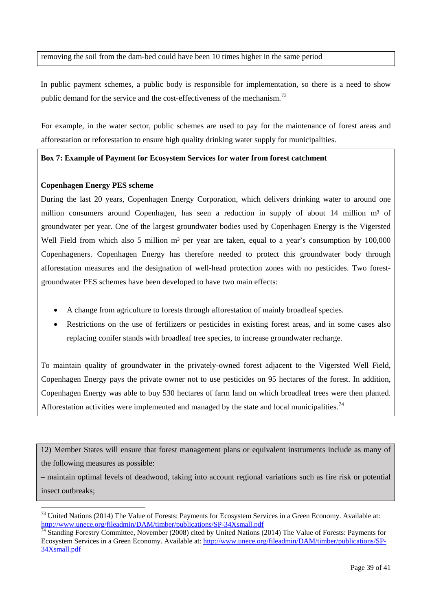removing the soil from the dam-bed could have been 10 times higher in the same period

In public payment schemes, a public body is responsible for implementation, so there is a need to show public demand for the service and the cost-effectiveness of the mechanism.<sup>[73](#page-39-0)</sup>

For example, in the water sector, public schemes are used to pay for the maintenance of forest areas and afforestation or reforestation to ensure high quality drinking water supply for municipalities.

#### **Box 7: Example of Payment for Ecosystem Services for water from forest catchment**

#### **Copenhagen Energy PES scheme**

During the last 20 years, Copenhagen Energy Corporation, which delivers drinking water to around one million consumers around Copenhagen, has seen a reduction in supply of about 14 million m<sup>3</sup> of groundwater per year. One of the largest groundwater bodies used by Copenhagen Energy is the Vigersted Well Field from which also 5 million  $m<sup>3</sup>$  per year are taken, equal to a year's consumption by 100,000 Copenhageners. Copenhagen Energy has therefore needed to protect this groundwater body through afforestation measures and the designation of well-head protection zones with no pesticides. Two forestgroundwater PES schemes have been developed to have two main effects:

- A change from agriculture to forests through afforestation of mainly broadleaf species.
- Restrictions on the use of fertilizers or pesticides in existing forest areas, and in some cases also replacing conifer stands with broadleaf tree species, to increase groundwater recharge.

To maintain quality of groundwater in the privately-owned forest adjacent to the Vigersted Well Field, Copenhagen Energy pays the private owner not to use pesticides on 95 hectares of the forest. In addition, Copenhagen Energy was able to buy 530 hectares of farm land on which broadleaf trees were then planted. Afforestation activities were implemented and managed by the state and local municipalities.<sup>[74](#page-39-1)</sup>

12) Member States will ensure that forest management plans or equivalent instruments include as many of the following measures as possible:

– maintain optimal levels of deadwood, taking into account regional variations such as fire risk or potential insect outbreaks;

<span id="page-39-0"></span><sup>&</sup>lt;sup>73</sup> United Nations (2014) The Value of Forests: Payments for Ecosystem Services in a Green Economy. Available at: http://www.unece.org/fileadmin/DAM/timber/publications/SP-34Xsmall.pdf

<span id="page-39-1"></span> $\frac{74}{14}$  Standing Forestry Committee, November (2008) cited by United Nations (2014) The Value of Forests: Payments for Ecosystem Services in a Green Economy. Available at: [http://www.unece.org/fileadmin/DAM/timber/publications/SP-](http://www.unece.org/fileadmin/DAM/timber/publications/SP-34Xsmall.pdf)[34Xsmall.pdf](http://www.unece.org/fileadmin/DAM/timber/publications/SP-34Xsmall.pdf)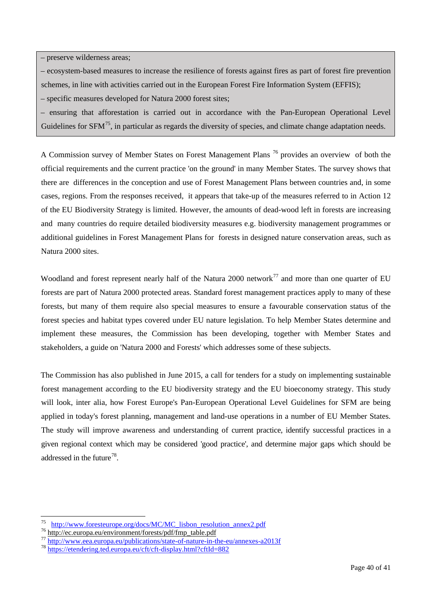– preserve wilderness areas;

- ecosystem-based measures to increase the resilience of forests against fires as part of forest fire prevention
- schemes, in line with activities carried out in the European Forest Fire Information System (EFFIS);
- specific measures developed for Natura 2000 forest sites;
- ensuring that afforestation is carried out in accordance with the Pan-European Operational Level Guidelines for SFM<sup>[75](#page-40-0)</sup>, in particular as regards the diversity of species, and climate change adaptation needs.

A Commission survey of Member States on Forest Management Plans<sup>[76](#page-40-1)</sup> provides an overview of both the official requirements and the current practice 'on the ground' in many Member States. The survey shows that there are differences in the conception and use of Forest Management Plans between countries and, in some cases, regions. From the responses received, it appears that take-up of the measures referred to in Action 12 of the EU Biodiversity Strategy is limited. However, the amounts of dead-wood left in forests are increasing and many countries do require detailed biodiversity measures e.g. biodiversity management programmes or additional guidelines in Forest Management Plans for forests in designed nature conservation areas, such as Natura 2000 sites.

Woodland and forest represent nearly half of the Natura 2000 network<sup>[77](#page-40-2)</sup> and more than one quarter of EU forests are part of Natura 2000 protected areas. Standard forest management practices apply to many of these forests, but many of them require also special measures to ensure a favourable conservation status of the forest species and habitat types covered under EU nature legislation. To help Member States determine and implement these measures, the Commission has been developing, together with Member States and stakeholders, a guide on 'Natura 2000 and Forests' which addresses some of these subjects.

The Commission has also published in June 2015, a call for tenders for a study on implementing sustainable forest management according to the EU biodiversity strategy and the EU bioeconomy strategy. This study will look, inter alia, how Forest Europe's Pan-European Operational Level Guidelines for SFM are being applied in today's forest planning, management and land-use operations in a number of EU Member States. The study will improve awareness and understanding of current practice, identify successful practices in a given regional context which may be considered 'good practice', and determine major gaps which should be addressed in the future<sup>78</sup>.

<span id="page-40-2"></span><span id="page-40-1"></span>

<span id="page-40-0"></span> $\frac{75}{76} \frac{\text{http://www.foresteurope.org/docs/MC/MC listbon resolution annex2.pdf}}{\text{http://ec.europa.eu/environment/forests/pdf/fmp_table.pdf}}$  $\frac{75}{76} \frac{\text{http://www.foresteurope.org/docs/MC/MC listbon resolution annex2.pdf}}{\text{http://ec.europa.eu/environment/forests/pdf/fmp_table.pdf}}$  $\frac{75}{76} \frac{\text{http://www.foresteurope.org/docs/MC/MC listbon resolution annex2.pdf}}{\text{http://ec.europa.eu/environment/forests/pdf/fmp_table.pdf}}$   $\frac{77}{77} \frac{\text{http://ec.europa.eu/environment/forests/pdf/fmp_table.pdf}}{\text{http://www.eea.europa.eu/publications/state-of-nature-in-the-eu/annexes-a2013f}}$  $\frac{77}{77} \frac{\text{http://ec.europa.eu/environment/forests/pdf/fmp_table.pdf}}{\text{http://www.eea.europa.eu/publications/state-of-nature-in-the-eu/annexes-a2013f}}$  $\frac{77}{77} \frac{\text{http://ec.europa.eu/environment/forests/pdf/fmp_table.pdf}}{\text{http://www.eea.europa.eu/publications/state-of-nature-in-the-eu/annexes-a2013f}}$ 

<span id="page-40-3"></span>